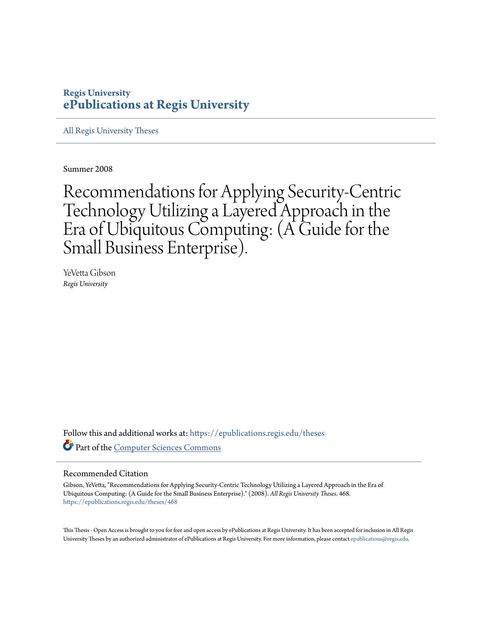#### **Regis University [ePublications at Regis University](https://epublications.regis.edu?utm_source=epublications.regis.edu%2Ftheses%2F468&utm_medium=PDF&utm_campaign=PDFCoverPages)**

[All Regis University Theses](https://epublications.regis.edu/theses?utm_source=epublications.regis.edu%2Ftheses%2F468&utm_medium=PDF&utm_campaign=PDFCoverPages)

Summer 2008

Recommendations for Applying Security-Centric Technology Utilizing a Layered Approach in the Era of Ubiquitous Computing: (A Guide for the Small Business Enterprise).

YeVetta Gibson *Regis University*

Follow this and additional works at: [https://epublications.regis.edu/theses](https://epublications.regis.edu/theses?utm_source=epublications.regis.edu%2Ftheses%2F468&utm_medium=PDF&utm_campaign=PDFCoverPages) Part of the [Computer Sciences Commons](http://network.bepress.com/hgg/discipline/142?utm_source=epublications.regis.edu%2Ftheses%2F468&utm_medium=PDF&utm_campaign=PDFCoverPages)

#### Recommended Citation

Gibson, YeVetta, "Recommendations for Applying Security-Centric Technology Utilizing a Layered Approach in the Era of Ubiquitous Computing: (A Guide for the Small Business Enterprise)." (2008). *All Regis University Theses*. 468. [https://epublications.regis.edu/theses/468](https://epublications.regis.edu/theses/468?utm_source=epublications.regis.edu%2Ftheses%2F468&utm_medium=PDF&utm_campaign=PDFCoverPages)

This Thesis - Open Access is brought to you for free and open access by ePublications at Regis University. It has been accepted for inclusion in All Regis University Theses by an authorized administrator of ePublications at Regis University. For more information, please contact [epublications@regis.edu.](mailto:epublications@regis.edu)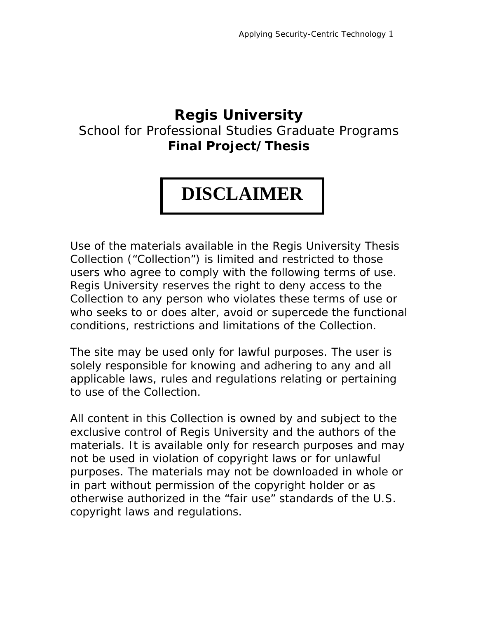#### **Regis University**

#### School for Professional Studies Graduate Programs **Final Project/Thesis**

#### **DISCLAIMER**

Use of the materials available in the Regis University Thesis Collection ("Collection") is limited and restricted to those users who agree to comply with the following terms of use. Regis University reserves the right to deny access to the Collection to any person who violates these terms of use or who seeks to or does alter, avoid or supercede the functional conditions, restrictions and limitations of the Collection.

The site may be used only for lawful purposes. The user is solely responsible for knowing and adhering to any and all applicable laws, rules and regulations relating or pertaining to use of the Collection.

All content in this Collection is owned by and subject to the exclusive control of Regis University and the authors of the materials. It is available only for research purposes and may not be used in violation of copyright laws or for unlawful purposes. The materials may not be downloaded in whole or in part without permission of the copyright holder or as otherwise authorized in the "fair use" standards of the U.S. copyright laws and regulations.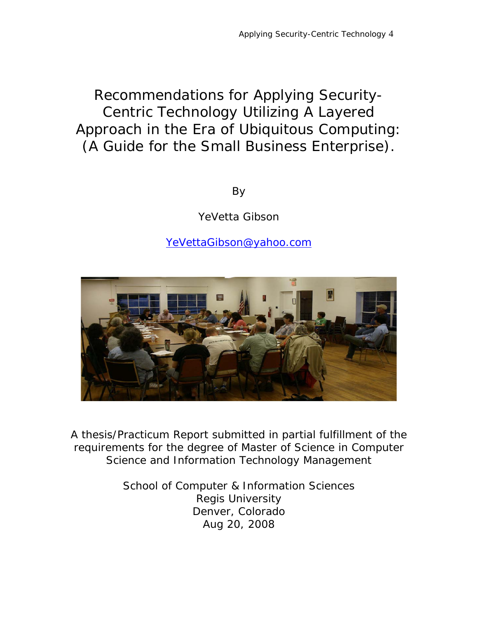#### Recommendations for Applying Security-Centric Technology Utilizing A Layered Approach in the Era of Ubiquitous Computing: (A Guide for the Small Business Enterprise).

By

YeVetta Gibson

YeVettaGibson@yahoo.com



A thesis/Practicum Report submitted in partial fulfillment of the requirements for the degree of Master of Science in Computer Science and Information Technology Management

> School of Computer & Information Sciences Regis University Denver, Colorado Aug 20, 2008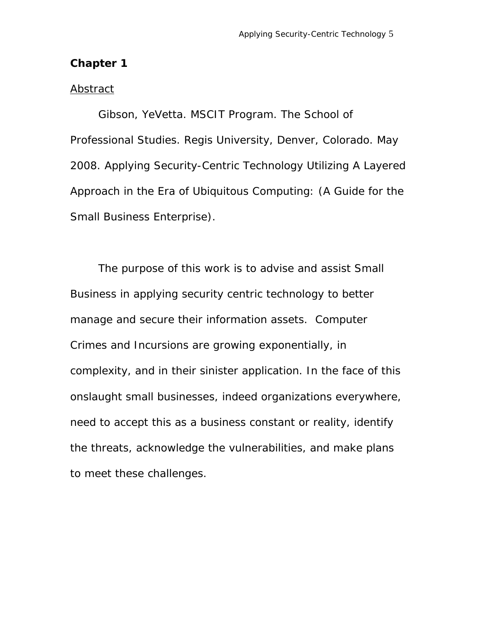#### **Chapter 1**

#### *Abstract*

 Gibson, YeVetta. MSCIT Program. The School of Professional Studies. Regis University, Denver, Colorado. May 2008. Applying Security-Centric Technology Utilizing A Layered Approach in the Era of Ubiquitous Computing: (A Guide for the Small Business Enterprise).

The purpose of this work is to advise and assist Small Business in applying security centric technology to better manage and secure their information assets. Computer Crimes and Incursions are growing exponentially, in complexity, and in their sinister application. In the face of this onslaught small businesses, indeed organizations everywhere, need to accept this as a business constant or reality, identify the threats, acknowledge the vulnerabilities, and make plans to meet these challenges.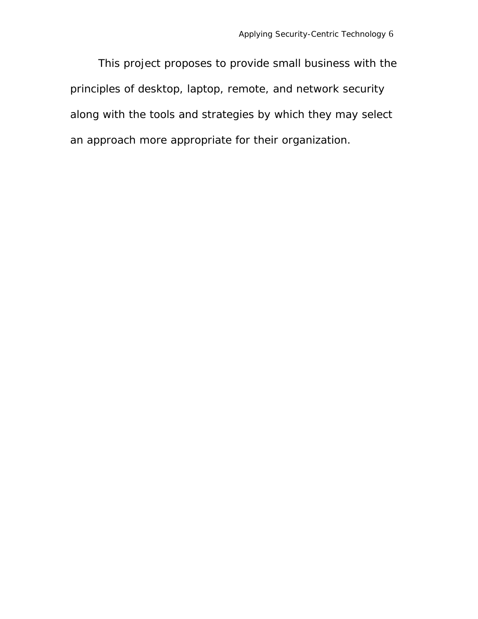This project proposes to provide small business with the principles of desktop, laptop, remote, and network security along with the tools and strategies by which they may select an approach more appropriate for their organization.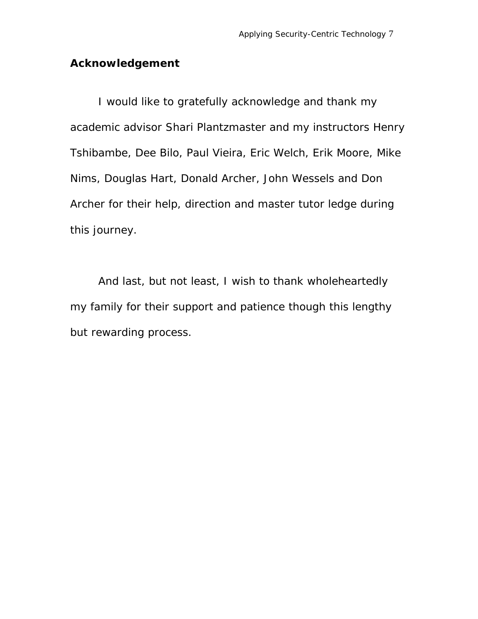#### **Acknowledgement**

I would like to gratefully acknowledge and thank my academic advisor Shari Plantzmaster and my instructors Henry Tshibambe, Dee Bilo, Paul Vieira, Eric Welch, Erik Moore, Mike Nims, Douglas Hart, Donald Archer, John Wessels and Don Archer for their help, direction and master tutor ledge during this journey.

And last, but not least, I wish to thank wholeheartedly my family for their support and patience though this lengthy but rewarding process.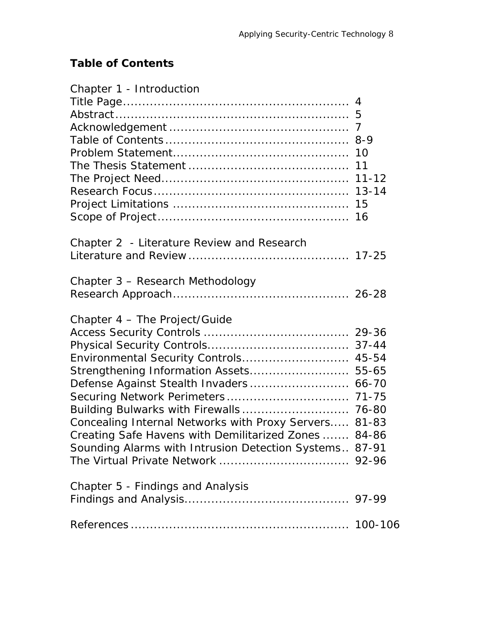#### **Table of Contents**

| Chapter 1 - Introduction                               |  |
|--------------------------------------------------------|--|
|                                                        |  |
|                                                        |  |
|                                                        |  |
|                                                        |  |
|                                                        |  |
|                                                        |  |
|                                                        |  |
|                                                        |  |
|                                                        |  |
|                                                        |  |
| Chapter 2 - Literature Review and Research             |  |
|                                                        |  |
| Chapter 3 - Research Methodology                       |  |
|                                                        |  |
| Chapter 4 - The Project/Guide                          |  |
|                                                        |  |
|                                                        |  |
| Environmental Security Controls 45-54                  |  |
| Strengthening Information Assets 55-65                 |  |
| Defense Against Stealth Invaders 66-70                 |  |
|                                                        |  |
|                                                        |  |
| Concealing Internal Networks with Proxy Servers 81-83  |  |
| Creating Safe Havens with Demilitarized Zones  84-86   |  |
| Sounding Alarms with Intrusion Detection Systems 87-91 |  |
|                                                        |  |
| Chapter 5 - Findings and Analysis                      |  |
|                                                        |  |
|                                                        |  |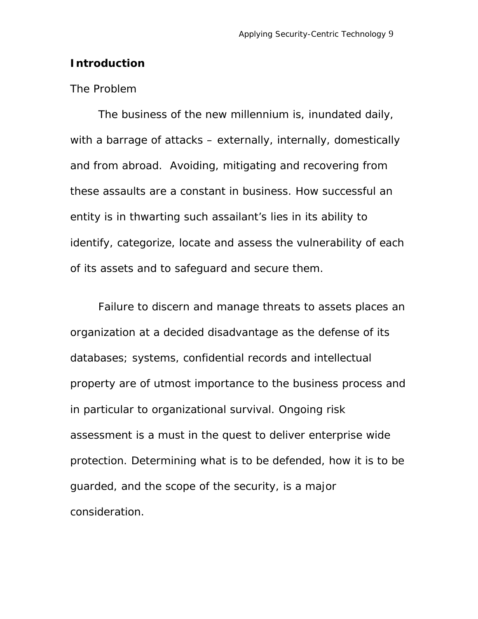#### **Introduction**

#### *The Problem*

The business of the new millennium is, inundated daily, with a barrage of attacks – externally, internally, domestically and from abroad. Avoiding, mitigating and recovering from these assaults are a constant in business. How successful an entity is in thwarting such assailant's lies in its ability to identify, categorize, locate and assess the vulnerability of each of its assets and to safeguard and secure them.

Failure to discern and manage threats to assets places an organization at a decided disadvantage as the defense of its databases; systems, confidential records and intellectual property are of utmost importance to the business process and in particular to organizational survival. Ongoing risk assessment is a must in the quest to deliver enterprise wide protection. Determining what is to be defended, how it is to be guarded, and the scope of the security, is a major consideration.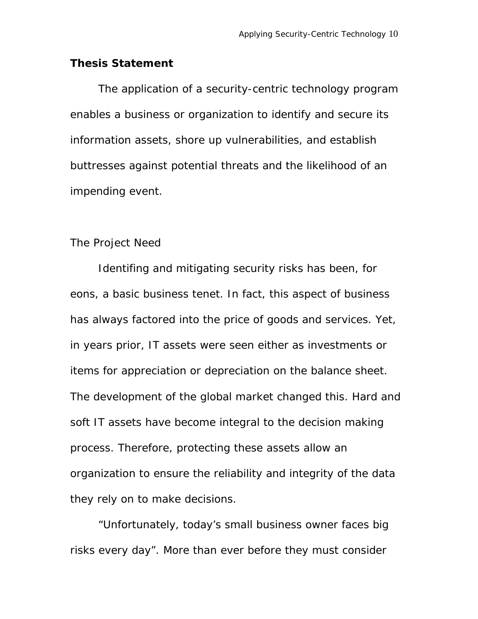#### **Thesis Statement**

The application of a security-centric technology program enables a business or organization to identify and secure its information assets, shore up vulnerabilities, and establish buttresses against potential threats and the likelihood of an impending event.

#### *The Project Need*

Identifing and mitigating security risks has been, for eons, a basic business tenet. In fact, this aspect of business has always factored into the price of goods and services. Yet, in years prior, IT assets were seen either as investments or items for appreciation or depreciation on the balance sheet. The development of the global market changed this. Hard and soft IT assets have become integral to the decision making process. Therefore, protecting these assets allow an organization to ensure the reliability and integrity of the data they rely on to make decisions.

 "Unfortunately, today's small business owner faces big risks every day". More than ever before they must consider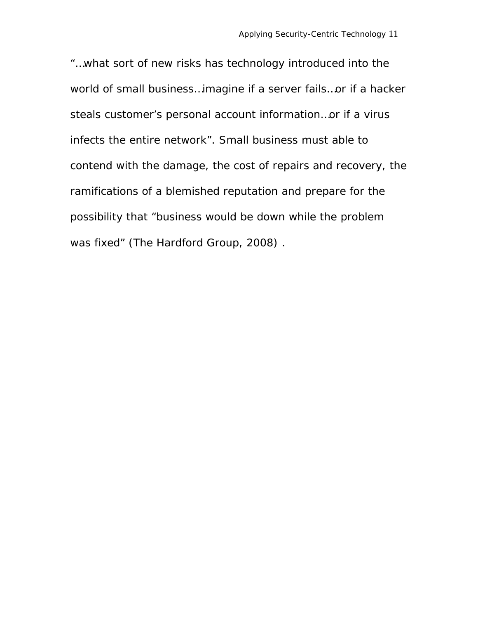"…what sort of new risks has technology introduced into the world of small business…imagine if a server fails…or if a hacker steals customer's personal account information…or if a virus infects the entire network". Small business must able to contend with the damage, the cost of repairs and recovery, the ramifications of a blemished reputation and prepare for the possibility that "business would be down while the problem was fixed" (The Hardford Group, 2008) .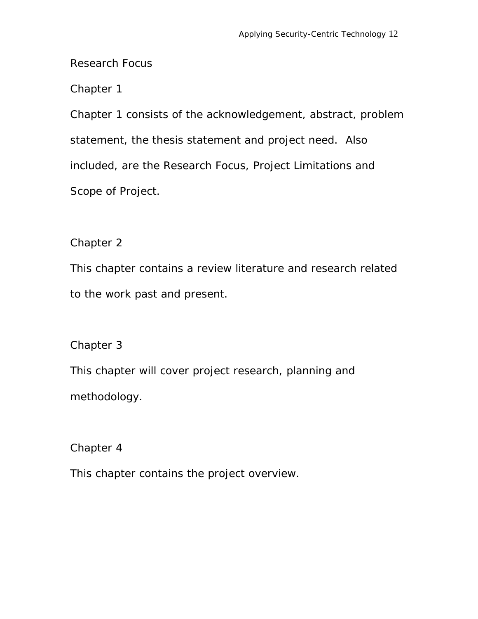#### *Research Focus*

#### Chapter 1

Chapter 1 consists of the acknowledgement, abstract, problem statement, the thesis statement and project need. Also included, are the Research Focus, Project Limitations and Scope of Project.

#### Chapter 2

This chapter contains a review literature and research related to the work past and present.

#### Chapter 3

This chapter will cover project research, planning and methodology.

Chapter 4

This chapter contains the project overview.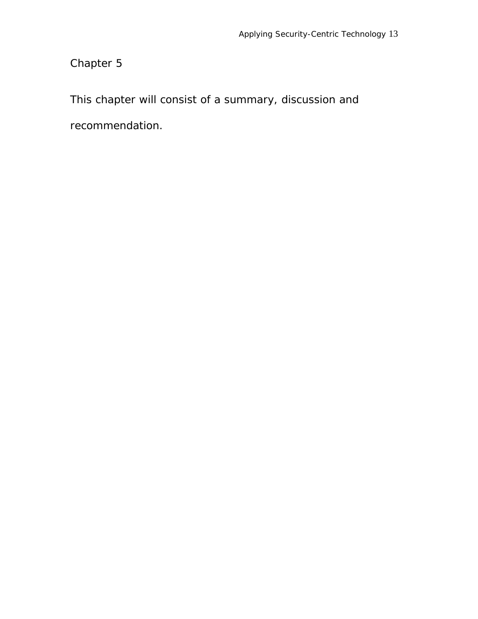Chapter 5

This chapter will consist of a summary, discussion and

recommendation.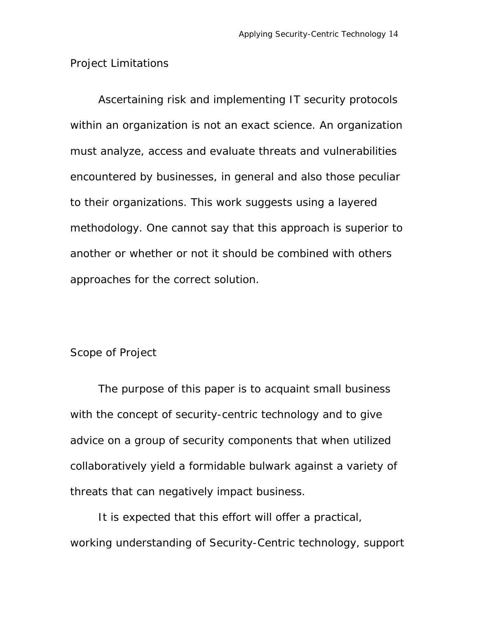#### *Project Limitations*

Ascertaining risk and implementing IT security protocols within an organization is not an exact science. An organization must analyze, access and evaluate threats and vulnerabilities encountered by businesses, in general and also those peculiar to their organizations. This work suggests using a layered methodology. One cannot say that this approach is superior to another or whether or not it should be combined with others approaches for the correct solution.

#### *Scope of Project*

The purpose of this paper is to acquaint small business with the concept of security-centric technology and to give advice on a group of security components that when utilized collaboratively yield a formidable bulwark against a variety of threats that can negatively impact business.

It is expected that this effort will offer a practical, working understanding of Security-Centric technology, support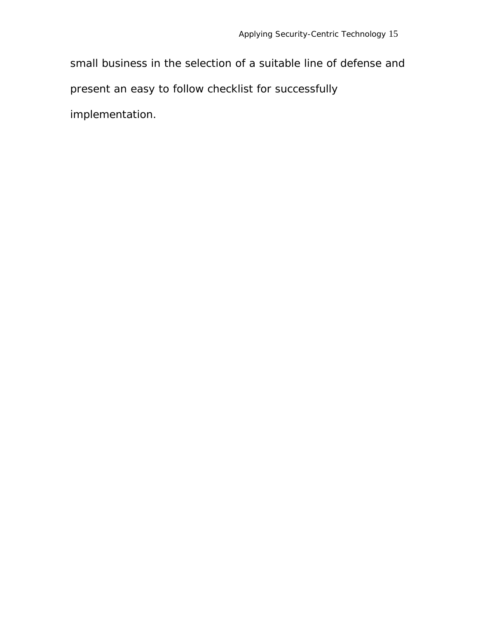small business in the selection of a suitable line of defense and present an easy to follow checklist for successfully implementation.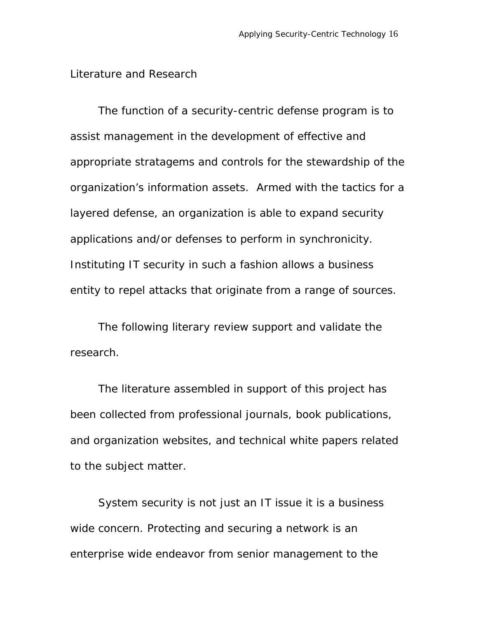#### *Literature and Research*

The function of a security-centric defense program is to assist management in the development of effective and appropriate stratagems and controls for the stewardship of the organization's information assets. Armed with the tactics for a layered defense, an organization is able to expand security applications and/or defenses to perform in synchronicity. Instituting IT security in such a fashion allows a business entity to repel attacks that originate from a range of sources.

The following literary review support and validate the research.

The literature assembled in support of this project has been collected from professional journals, book publications, and organization websites, and technical white papers related to the subject matter.

System security is not *just* an IT issue it is a business wide concern. Protecting and securing a network is an enterprise wide endeavor from senior management to the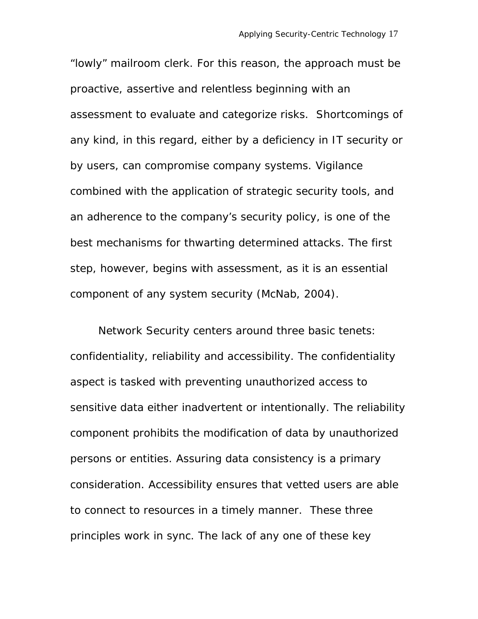"lowly" mailroom clerk. For this reason, the approach must be proactive, assertive and relentless beginning with an assessment to evaluate and categorize risks. Shortcomings of any kind, in this regard, either by a deficiency in IT security or by users, can compromise company systems. Vigilance combined with the application of strategic security tools, and an adherence to the company's security policy, is one of the best mechanisms for thwarting determined attacks. The first step, however, begins with assessment, as it is an essential component of any system security (McNab, 2004).

Network Security centers around three basic tenets: confidentiality, reliability and accessibility. The confidentiality aspect is tasked with preventing unauthorized access to sensitive data either inadvertent or intentionally. The reliability component prohibits the modification of data by unauthorized persons or entities. Assuring data consistency is a primary consideration. Accessibility ensures that vetted users are able to connect to resources in a timely manner. These three principles work in sync. The lack of any one of these key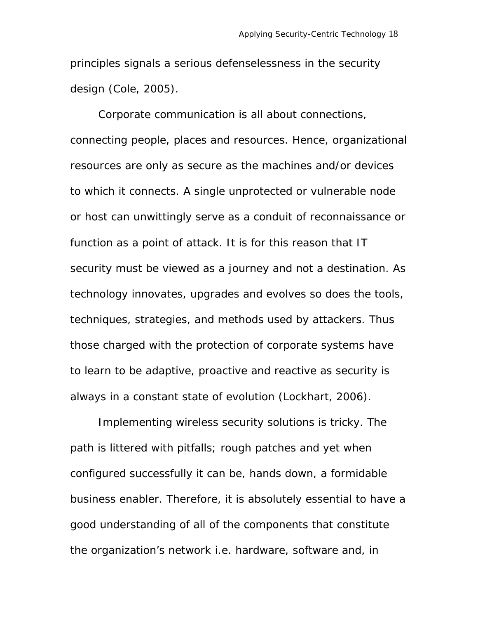principles signals a serious defenselessness in the security design (Cole, 2005).

Corporate communication is all about connections, connecting people, places and resources. Hence, organizational resources are only as secure as the machines and/or devices to which it connects. A single unprotected or vulnerable node or host can unwittingly serve as a conduit of reconnaissance or function as a point of attack. It is for this reason that IT security must be viewed as a journey and not a destination. As technology innovates, upgrades and evolves so does the tools, techniques, strategies, and methods used by attackers. Thus those charged with the protection of corporate systems have to learn to be adaptive, proactive and reactive as security is always in a constant state of evolution (Lockhart, 2006).

Implementing wireless security solutions is tricky. The path is littered with pitfalls; rough patches and yet when configured successfully it can be, hands down, a formidable business enabler. Therefore, it is absolutely essential to have a good understanding of all of the components that constitute the organization's network i.e. hardware, software and, in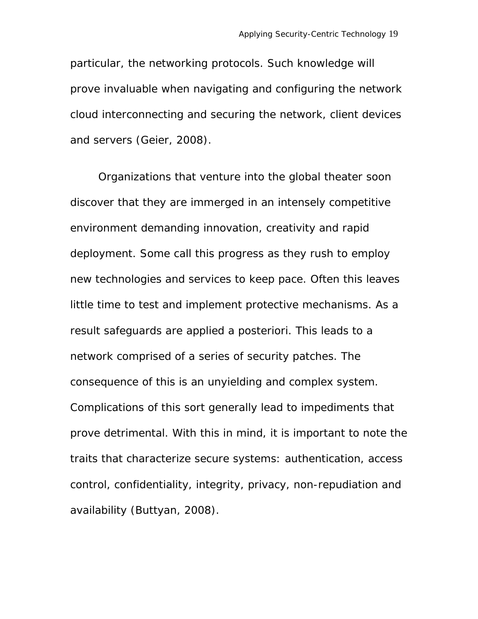particular, the networking protocols. Such knowledge will prove invaluable when navigating and configuring the network cloud interconnecting and securing the network, client devices and servers (Geier, 2008).

Organizations that venture into the global theater soon discover that they are immerged in an intensely competitive environment demanding innovation, creativity and rapid deployment. Some call this progress as they rush to employ new technologies and services to keep pace. Often this leaves little time to test and implement protective mechanisms. As a result safeguards are applied *a posteriori*. This leads to a network comprised of a series of security patches. The consequence of this is an unyielding and complex system. Complications of this sort generally lead to impediments that prove detrimental. With this in mind, it is important to note the traits that characterize secure systems: authentication, access control, confidentiality, integrity, privacy, non-repudiation and availability (Buttyan, 2008).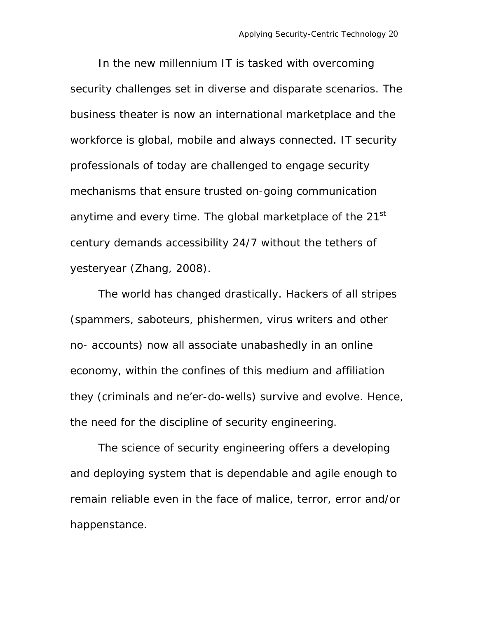In the new millennium IT is tasked with overcoming security challenges set in diverse and disparate scenarios. The business theater is now an international marketplace and the workforce is global, mobile and always connected. IT security professionals of today are challenged to engage security mechanisms that ensure trusted on-going communication anytime and every time. The global marketplace of the  $21<sup>st</sup>$ century demands accessibility 24/7 without the tethers of yesteryear (Zhang, 2008).

The world has changed drastically. Hackers of all stripes (spammers, saboteurs, phishermen, virus writers and other no- accounts) now all associate unabashedly in an online economy, within the confines of this medium and affiliation they (criminals and ne'er-do-wells) survive and evolve. Hence, the need for the discipline of security engineering.

The science of security engineering offers a developing and deploying system that is dependable and agile enough to remain reliable even in the face of malice, terror, error and/or happenstance.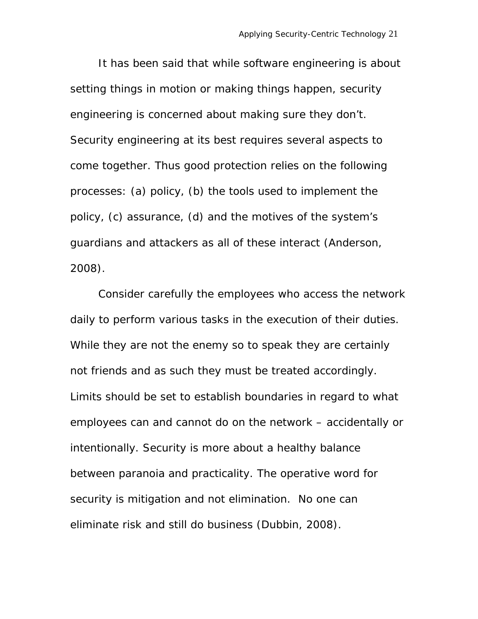It has been said that while software engineering is about setting things in motion or making things happen, security engineering is concerned about making sure they don't. Security engineering at its best requires several aspects to come together. Thus good protection relies on the following processes: (a) policy, (b) the tools used to implement the policy, (c) assurance, (d) and the motives of the system's guardians and attackers as all of these interact (Anderson, 2008).

Consider carefully the employees who access the network daily to perform various tasks in the execution of their duties. While they are not the enemy so to speak they are certainly not friends and as such they must be treated accordingly. Limits should be set to establish boundaries in regard to what employees can and cannot do on the network – accidentally or intentionally. Security is more about a healthy balance between paranoia and practicality. The operative word for security is mitigation and not elimination. No one can eliminate risk and still do business (Dubbin, 2008).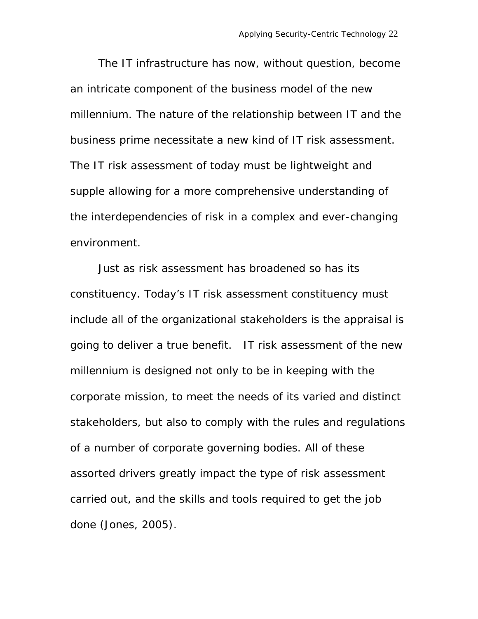The IT infrastructure has now, without question, become an intricate component of the business model of the new millennium. The nature of the relationship between IT and the business prime necessitate a new kind of IT risk assessment. The IT risk assessment of today must be lightweight and supple allowing for a more comprehensive understanding of the interdependencies of risk in a complex and ever-changing environment.

Just as risk assessment has broadened so has its constituency. Today's IT risk assessment constituency must include all of the organizational stakeholders is the appraisal is going to deliver a true benefit. IT risk assessment of the new millennium is designed not only to be in keeping with the corporate mission, to meet the needs of its varied and distinct stakeholders, but also to comply with the rules and regulations of a number of corporate governing bodies. All of these assorted drivers greatly impact the type of risk assessment carried out, and the skills and tools required to get the job done (Jones, 2005).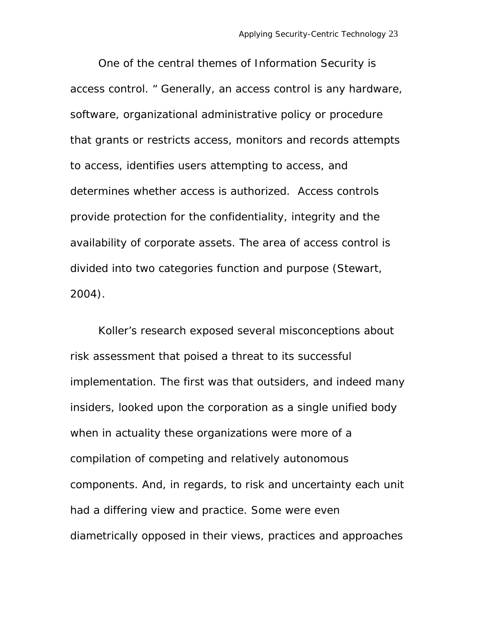One of the central themes of Information Security is access control. " Generally, an access control is any hardware, software, organizational administrative policy or procedure that grants or restricts access, monitors and records attempts to access, identifies users attempting to access, and determines whether access is authorized. Access controls provide protection for the confidentiality, integrity and the availability of corporate assets. The area of access control is divided into two categories function and purpose (Stewart, 2004).

Koller's research exposed several misconceptions about risk assessment that poised a threat to its successful implementation. The first was that outsiders, and indeed many insiders, looked upon the corporation as a single unified body when in actuality these organizations were more of a compilation of competing and relatively autonomous components. And, in regards, to risk and uncertainty each unit had a differing view and practice. Some were even diametrically opposed in their views, practices and approaches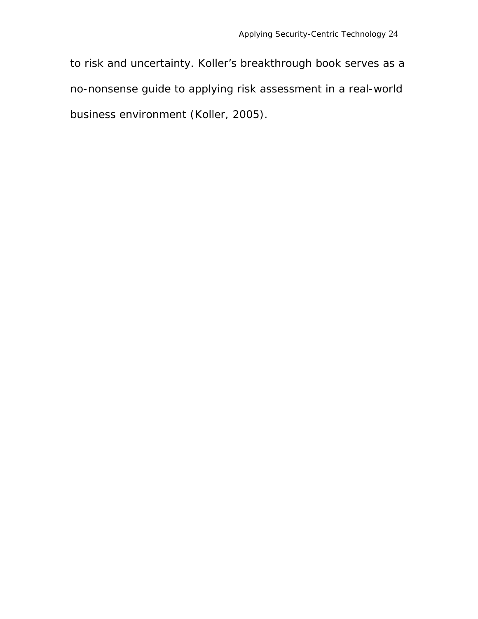to risk and uncertainty. Koller's breakthrough book serves as a no-nonsense guide to applying risk assessment in a real-world business environment (Koller, 2005).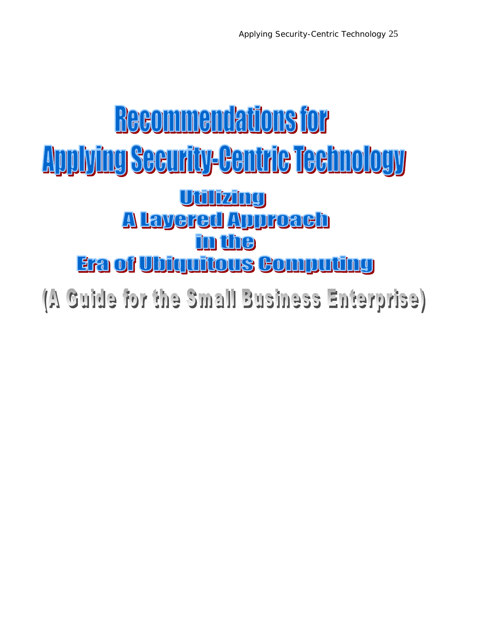### **Recommendations for** <u>Applying Security-Centric Technology</u> <u>Ujulizing</u> <u>A Layered Approach</u> in the **Era of Ubiquitous Computing**

(A Guide for the Small Business Enterprise)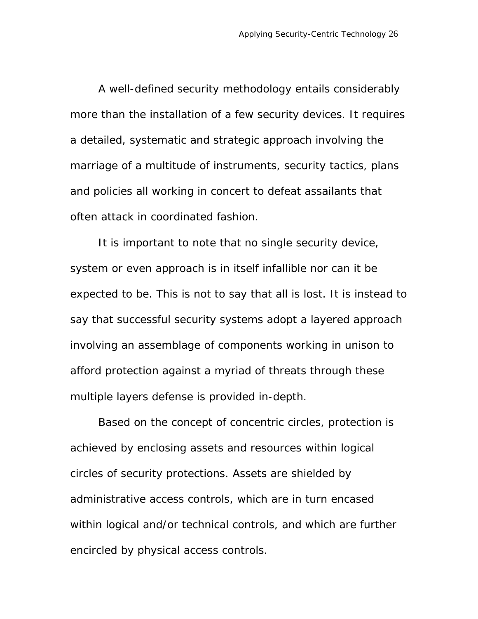A well-defined security methodology entails considerably more than the installation of a few security devices. It requires a detailed, systematic and strategic approach involving the marriage of a multitude of instruments, security tactics, plans and policies all working in concert to defeat assailants that often attack in coordinated fashion.

It is important to note that no single security device, system or even approach is in itself infallible nor can it be expected to be. This is not to say that all is lost. It is instead to say that successful security systems adopt a layered approach involving an assemblage of components working in unison to afford protection against a myriad of threats through these multiple layers defense is provided in-depth.

Based on the concept of concentric circles, protection is achieved by enclosing assets and resources within logical circles of security protections. Assets are shielded by administrative access controls, which are in turn encased within logical and/or technical controls, and which are further encircled by physical access controls.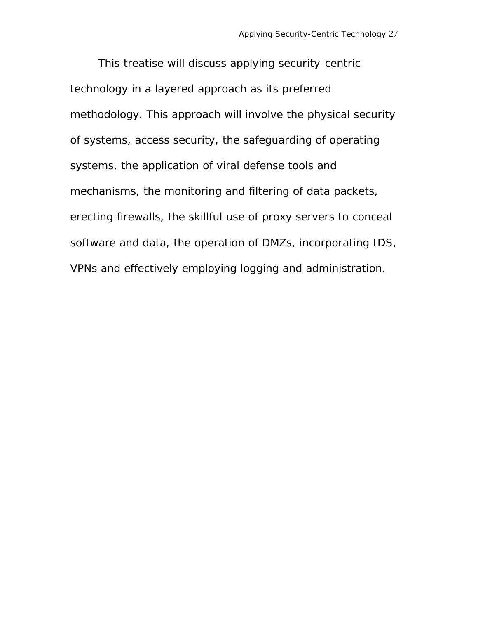This treatise will discuss applying security-centric technology in a layered approach as its preferred methodology. This approach will involve the physical security of systems, access security, the safeguarding of operating systems, the application of viral defense tools and mechanisms, the monitoring and filtering of data packets, erecting firewalls, the skillful use of proxy servers to conceal software and data, the operation of DMZs, incorporating IDS, VPNs and effectively employing logging and administration.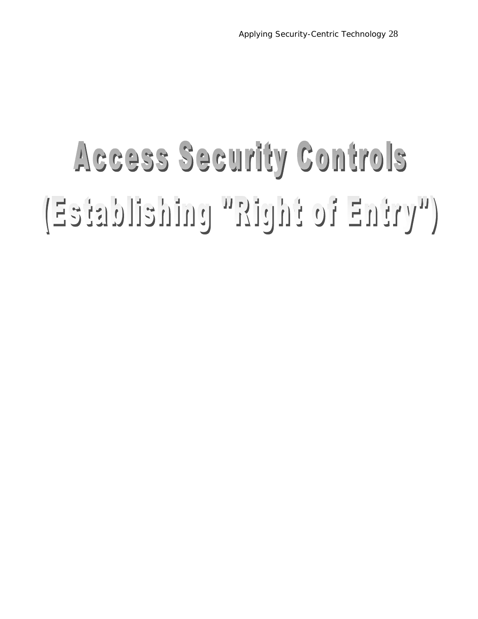## Access Security Controls ("VYERE FO Entrick" painteildeteE)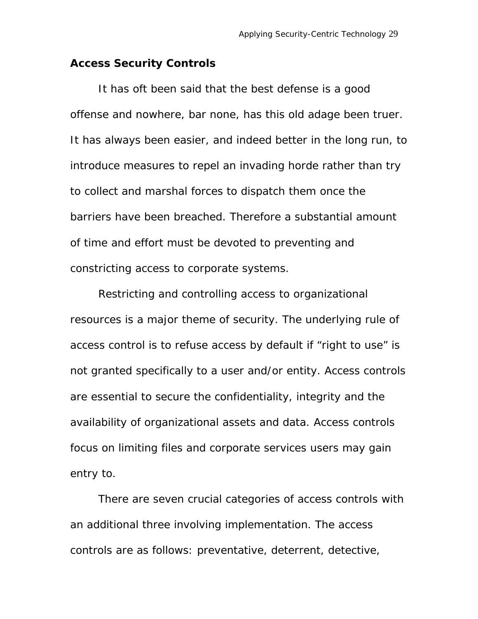#### **Access Security Controls**

It has oft been said that the best defense is a good offense and nowhere, bar none, has this old adage been truer. It has always been easier, and indeed better in the long run, to introduce measures to repel an invading horde rather than try to collect and marshal forces to dispatch them once the barriers have been breached. Therefore a substantial amount of time and effort must be devoted to preventing and constricting access to corporate systems.

Restricting and controlling access to organizational resources is a major theme of security. The underlying rule of access control is to refuse access by default if "right to use" is not granted specifically to a user and/or entity. Access controls are essential to secure the confidentiality, integrity and the availability of organizational assets and data. Access controls focus on limiting files and corporate services users may gain entry to.

There are seven crucial categories of access controls with an additional three involving implementation. The access controls are as follows: preventative, deterrent, detective,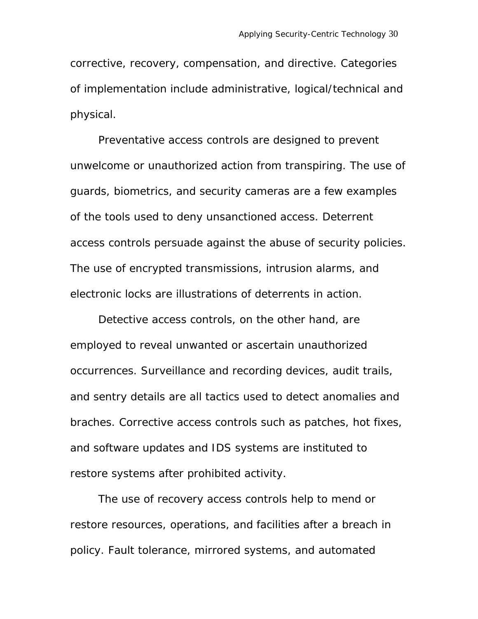corrective, recovery, compensation, and directive. Categories of implementation include administrative, logical/technical and physical.

Preventative access controls are designed to prevent unwelcome or unauthorized action from transpiring. The use of guards, biometrics, and security cameras are a few examples of the tools used to deny unsanctioned access. Deterrent access controls persuade against the abuse of security policies. The use of encrypted transmissions, intrusion alarms, and electronic locks are illustrations of deterrents in action.

Detective access controls, on the other hand, are employed to reveal unwanted or ascertain unauthorized occurrences. Surveillance and recording devices, audit trails, and sentry details are all tactics used to detect anomalies and braches. Corrective access controls such as patches, hot fixes, and software updates and IDS systems are instituted to restore systems after prohibited activity.

The use of recovery access controls help to mend or restore resources, operations, and facilities after a breach in policy. Fault tolerance, mirrored systems, and automated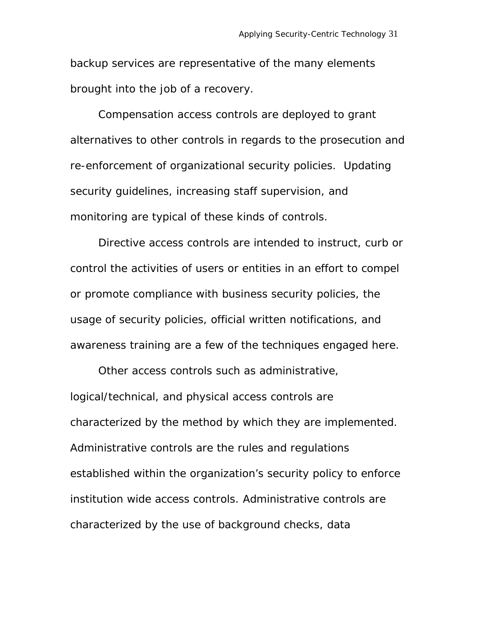backup services are representative of the many elements brought into the job of a recovery.

Compensation access controls are deployed to grant alternatives to other controls in regards to the prosecution and re-enforcement of organizational security policies. Updating security guidelines, increasing staff supervision, and monitoring are typical of these kinds of controls.

Directive access controls are intended to instruct, curb or control the activities of users or entities in an effort to compel or promote compliance with business security policies, the usage of security policies, official written notifications, and awareness training are a few of the techniques engaged here.

Other access controls such as administrative, logical/technical, and physical access controls are characterized by the method by which they are implemented. Administrative controls are the rules and regulations established within the organization's security policy to enforce institution wide access controls. Administrative controls are characterized by the use of background checks, data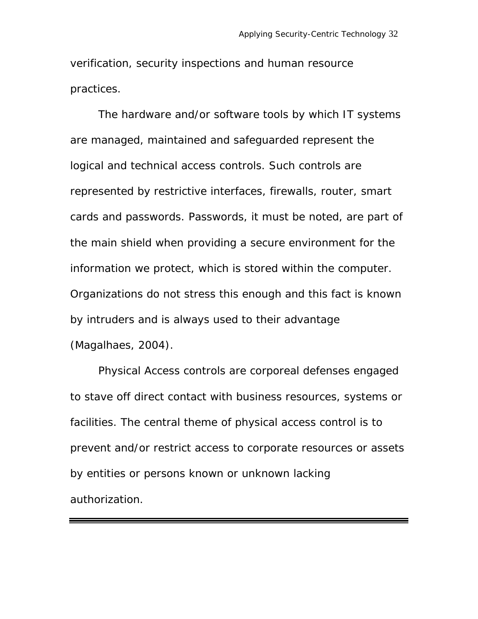verification, security inspections and human resource practices.

The hardware and/or software tools by which IT systems are managed, maintained and safeguarded represent the logical and technical access controls. Such controls are represented by restrictive interfaces, firewalls, router, smart cards and passwords. Passwords, it must be noted, are part of the main shield when providing a secure environment for the information we protect, which is stored within the computer. Organizations do not stress this enough and this fact is known by intruders and is always used to their advantage (Magalhaes, 2004).

Physical Access controls are corporeal defenses engaged to stave off direct contact with business resources, systems or facilities. The central theme of physical access control is to prevent and/or restrict access to corporate resources or assets by entities or persons known or unknown lacking authorization.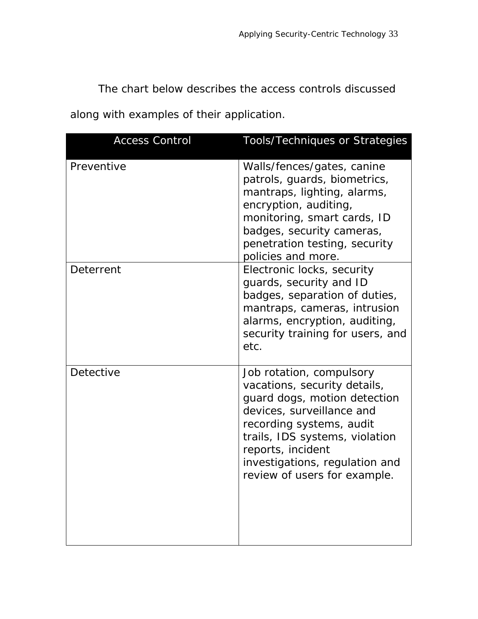The chart below describes the access controls discussed

along with examples of their application.

| <b>Access Control</b> | <b>Tools/Techniques or Strategies</b>                                                                                                                                                                                                                                      |
|-----------------------|----------------------------------------------------------------------------------------------------------------------------------------------------------------------------------------------------------------------------------------------------------------------------|
| Preventive            | Walls/fences/gates, canine<br>patrols, guards, biometrics,<br>mantraps, lighting, alarms,<br>encryption, auditing,<br>monitoring, smart cards, ID<br>badges, security cameras,<br>penetration testing, security<br>policies and more.                                      |
| Deterrent             | Electronic locks, security<br>guards, security and ID<br>badges, separation of duties,<br>mantraps, cameras, intrusion<br>alarms, encryption, auditing,<br>security training for users, and<br>etc.                                                                        |
| Detective             | Job rotation, compulsory<br>vacations, security details,<br>guard dogs, motion detection<br>devices, surveillance and<br>recording systems, audit<br>trails, IDS systems, violation<br>reports, incident<br>investigations, regulation and<br>review of users for example. |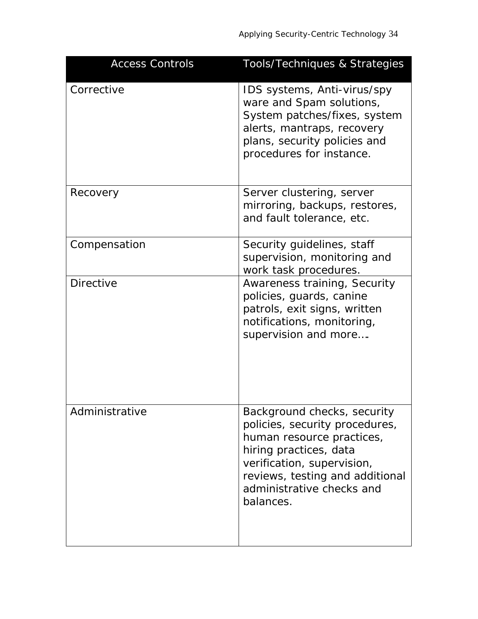| <b>Access Controls</b> | Tools/Techniques & Strategies                                                                                                                                                                                                   |
|------------------------|---------------------------------------------------------------------------------------------------------------------------------------------------------------------------------------------------------------------------------|
| Corrective             | IDS systems, Anti-virus/spy<br>ware and Spam solutions,<br>System patches/fixes, system<br>alerts, mantraps, recovery<br>plans, security policies and<br>procedures for instance.                                               |
| Recovery               | Server clustering, server<br>mirroring, backups, restores,<br>and fault tolerance, etc.                                                                                                                                         |
| Compensation           | Security guidelines, staff<br>supervision, monitoring and<br>work task procedures.                                                                                                                                              |
| <b>Directive</b>       | Awareness training, Security<br>policies, guards, canine<br>patrols, exit signs, written<br>notifications, monitoring,<br>supervision and more                                                                                  |
| Administrative         | Background checks, security<br>policies, security procedures,<br>human resource practices,<br>hiring practices, data<br>verification, supervision,<br>reviews, testing and additional<br>administrative checks and<br>balances. |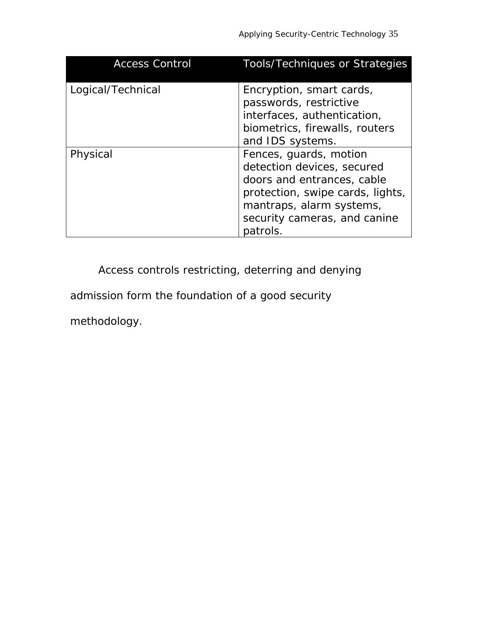| <b>Access Control</b> | <b>Tools/Techniques or Strategies</b>                                                                                                                                                          |
|-----------------------|------------------------------------------------------------------------------------------------------------------------------------------------------------------------------------------------|
| Logical/Technical     | Encryption, smart cards,<br>passwords, restrictive<br>interfaces, authentication,<br>biometrics, firewalls, routers<br>and IDS systems.                                                        |
| Physical              | Fences, guards, motion<br>detection devices, secured<br>doors and entrances, cable<br>protection, swipe cards, lights,<br>mantraps, alarm systems,<br>security cameras, and canine<br>patrols. |

Access controls restricting, deterring and denying

admission form the foundation of a good security

methodology.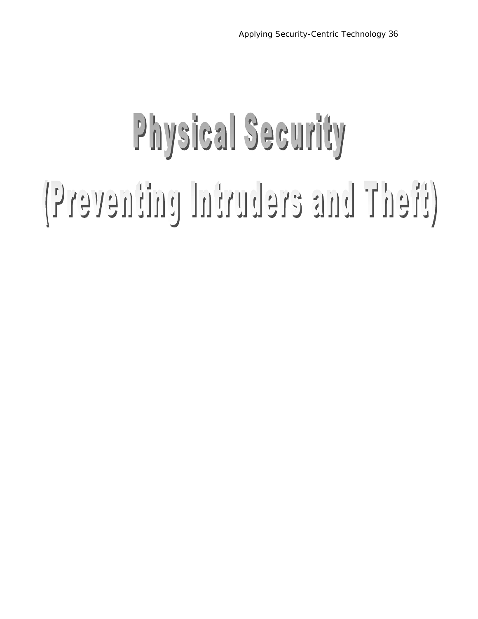# Physical Security (Freventing Intruders and There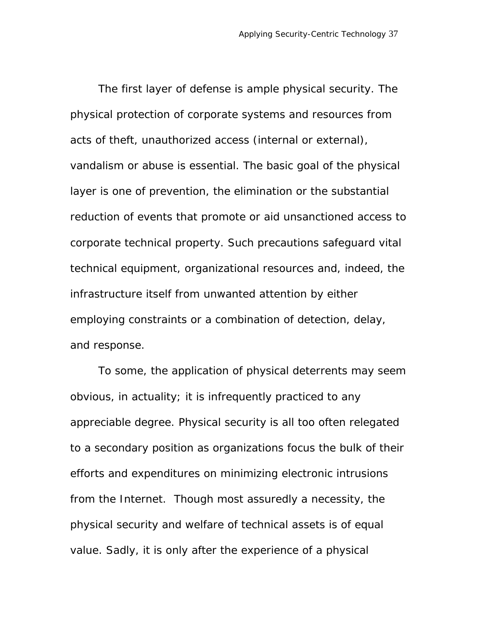The first layer of defense is ample physical security. The physical protection of corporate systems and resources from acts of theft, unauthorized access (internal or external), vandalism or abuse is essential. The basic goal of the physical layer is one of prevention, the elimination or the substantial reduction of events that promote or aid unsanctioned access to corporate technical property. Such precautions safeguard vital technical equipment, organizational resources and, indeed, the infrastructure itself from unwanted attention by either employing constraints or a combination of detection, delay, and response.

To some, the application of physical deterrents may seem obvious, in actuality; it is infrequently practiced to any appreciable degree. Physical security is all too often relegated to a secondary position as organizations focus the bulk of their efforts and expenditures on minimizing electronic intrusions from the Internet. Though most assuredly a necessity, the physical security and welfare of technical assets is of equal value. Sadly, it is only after the experience of a physical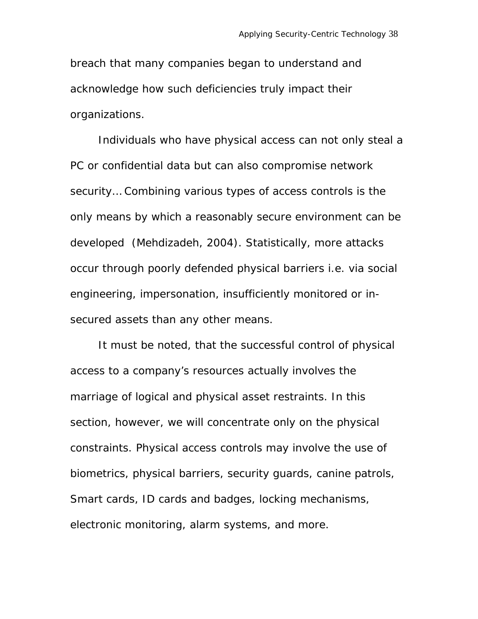breach that many companies began to understand and acknowledge how such deficiencies truly impact their organizations.

Individuals who have physical access can not only steal a PC or confidential data but can also compromise network security… Combining various types of access controls is the only means by which a reasonably secure environment can be developed (Mehdizadeh, 2004). Statistically, more attacks occur through poorly defended physical barriers i.e. via social engineering, impersonation, insufficiently monitored or insecured assets than any other means.

It must be noted, that the successful control of physical access to a company's resources actually involves the marriage of logical and physical asset restraints. In this section, however, we will concentrate only on the physical constraints. Physical access controls may involve the use of biometrics, physical barriers, security guards, canine patrols, Smart cards, ID cards and badges, locking mechanisms, electronic monitoring, alarm systems, and more.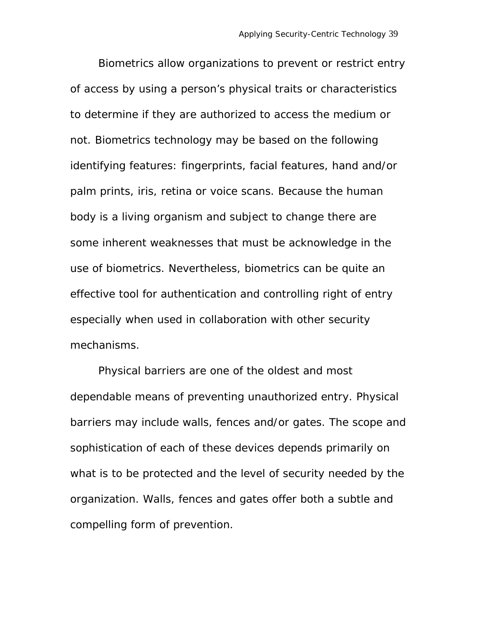Biometrics allow organizations to prevent or restrict entry of access by using a person's physical traits or characteristics to determine if they are authorized to access the medium or not. Biometrics technology may be based on the following identifying features: fingerprints, facial features, hand and/or palm prints, iris, retina or voice scans. Because the human body is a living organism and subject to change there are some inherent weaknesses that must be acknowledge in the use of biometrics. Nevertheless, biometrics can be quite an effective tool for authentication and controlling right of entry especially when used in collaboration with other security mechanisms.

Physical barriers are one of the oldest and most dependable means of preventing unauthorized entry. Physical barriers may include walls, fences and/or gates. The scope and sophistication of each of these devices depends primarily on what is to be protected and the level of security needed by the organization. Walls, fences and gates offer both a subtle and compelling form of prevention.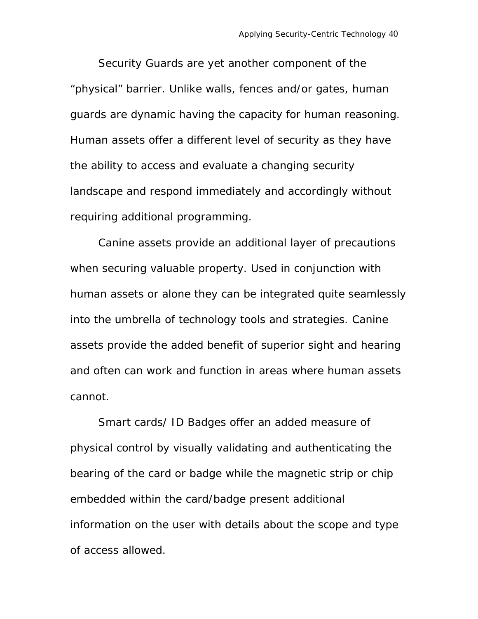Security Guards are yet another component of the "physical" barrier. Unlike walls, fences and/or gates, human guards are dynamic having the capacity for human reasoning. Human assets offer a different level of security as they have the ability to access and evaluate a changing security landscape and respond immediately and accordingly without requiring additional programming.

Canine assets provide an additional layer of precautions when securing valuable property. Used in conjunction with human assets or alone they can be integrated quite seamlessly into the umbrella of technology tools and strategies. Canine assets provide the added benefit of superior sight and hearing and often can work and function in areas where human assets cannot.

Smart cards/ ID Badges offer an added measure of physical control by visually validating and authenticating the bearing of the card or badge while the magnetic strip or chip embedded within the card/badge present additional information on the user with details about the scope and type of access allowed.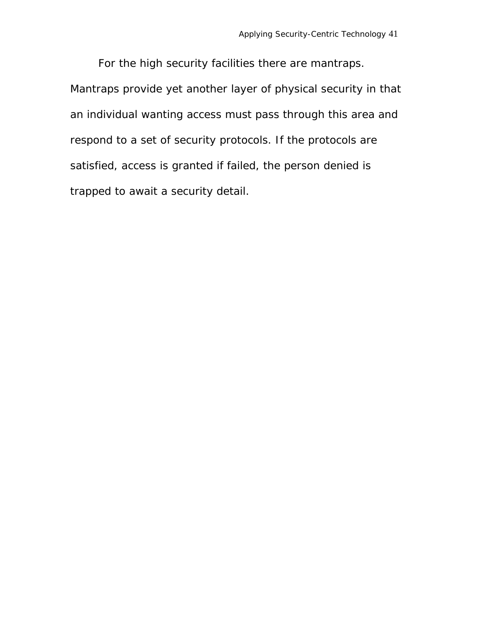For the high security facilities there are mantraps. Mantraps provide yet another layer of physical security in that an individual wanting access must pass through this area and respond to a set of security protocols. If the protocols are satisfied, access is granted if failed, the person denied is trapped to await a security detail.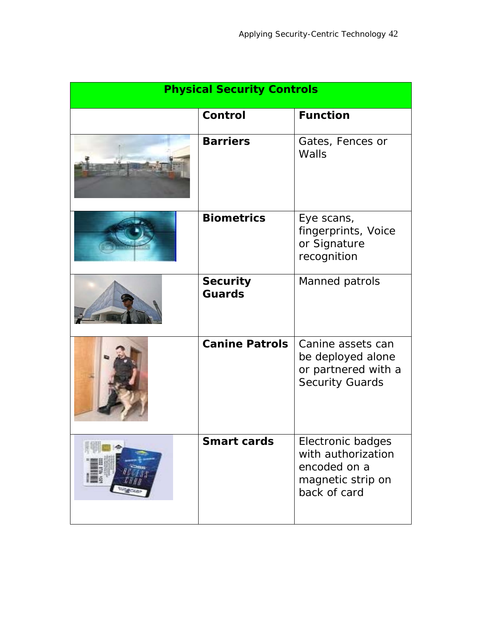| <b>Physical Security Controls</b> |                                  |                                                                                              |  |
|-----------------------------------|----------------------------------|----------------------------------------------------------------------------------------------|--|
|                                   | Control                          | <b>Function</b>                                                                              |  |
|                                   | <b>Barriers</b>                  | Gates, Fences or<br>Walls                                                                    |  |
|                                   | <b>Biometrics</b>                | Eye scans,<br>fingerprints, Voice<br>or Signature<br>recognition                             |  |
|                                   | <b>Security</b><br><b>Guards</b> | Manned patrols                                                                               |  |
|                                   | <b>Canine Patrols</b>            | Canine assets can<br>be deployed alone<br>or partnered with a<br><b>Security Guards</b>      |  |
|                                   | <b>Smart cards</b>               | Electronic badges<br>with authorization<br>encoded on a<br>magnetic strip on<br>back of card |  |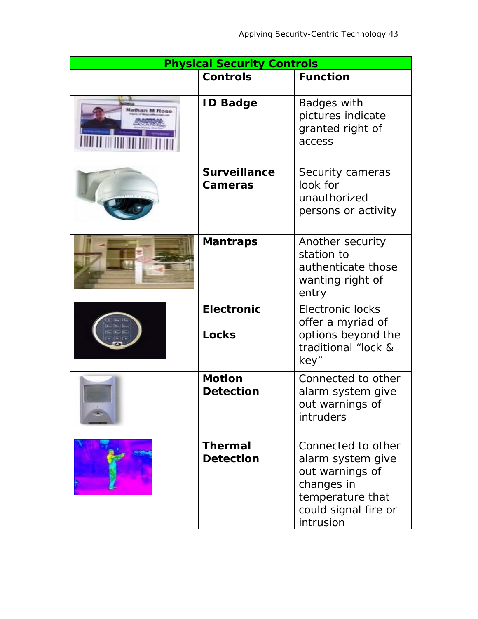| <b>Physical Security Controls</b> |                                    |                                                                                                                                   |  |
|-----------------------------------|------------------------------------|-----------------------------------------------------------------------------------------------------------------------------------|--|
|                                   | <b>Controls</b>                    | <b>Function</b>                                                                                                                   |  |
| lathan M Rose                     | <b>ID Badge</b>                    | Badges with<br>pictures indicate<br>granted right of<br>access                                                                    |  |
|                                   | <b>Surveillance</b><br>Cameras     | Security cameras<br>look for<br>unauthorized<br>persons or activity                                                               |  |
|                                   | <b>Mantraps</b>                    | Another security<br>station to<br>authenticate those<br>wanting right of<br>entry                                                 |  |
|                                   | <b>Electronic</b><br><b>Locks</b>  | <b>Electronic locks</b><br>offer a myriad of<br>options beyond the<br>traditional "lock &<br>key"                                 |  |
|                                   | <b>Motion</b><br><b>Detection</b>  | Connected to other<br>alarm system give<br>out warnings of<br>intruders                                                           |  |
|                                   | <b>Thermal</b><br><b>Detection</b> | Connected to other<br>alarm system give<br>out warnings of<br>changes in<br>temperature that<br>could signal fire or<br>intrusion |  |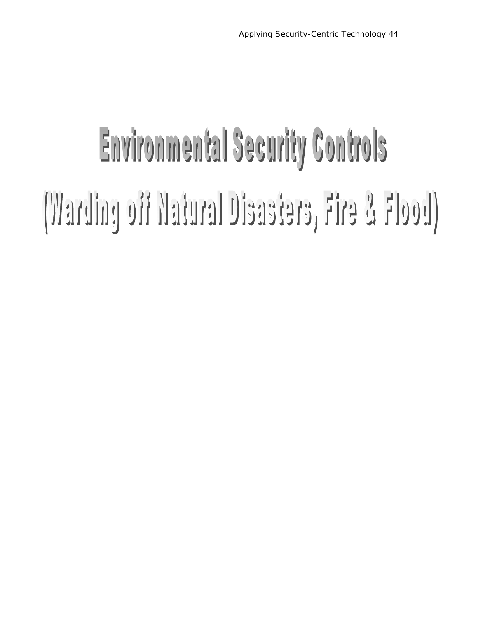## **Environmental Security Controls** (Verding off Natural Disasters, Fire & Flood)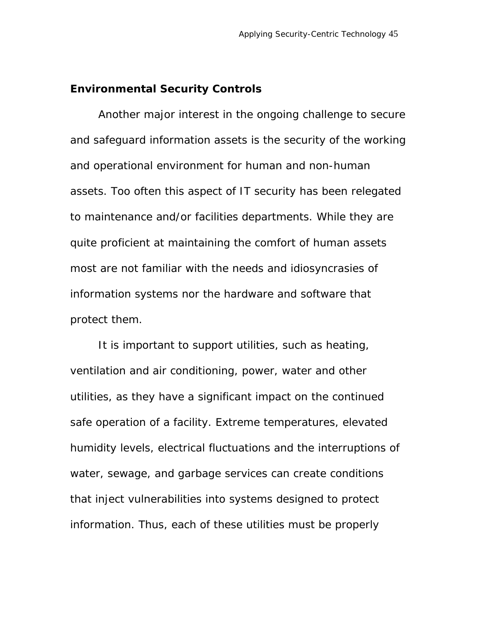### **Environmental Security Controls**

Another major interest in the ongoing challenge to secure and safeguard information assets is the security of the working and operational environment for human and non-human assets. Too often this aspect of IT security has been relegated to maintenance and/or facilities departments. While they are quite proficient at maintaining the comfort of human assets most are not familiar with the needs and idiosyncrasies of information systems nor the hardware and software that protect them.

It is important to support utilities, such as heating, ventilation and air conditioning, power, water and other utilities, as they have a significant impact on the continued safe operation of a facility. Extreme temperatures, elevated humidity levels, electrical fluctuations and the interruptions of water, sewage, and garbage services can create conditions that inject vulnerabilities into systems designed to protect information. Thus, each of these utilities must be properly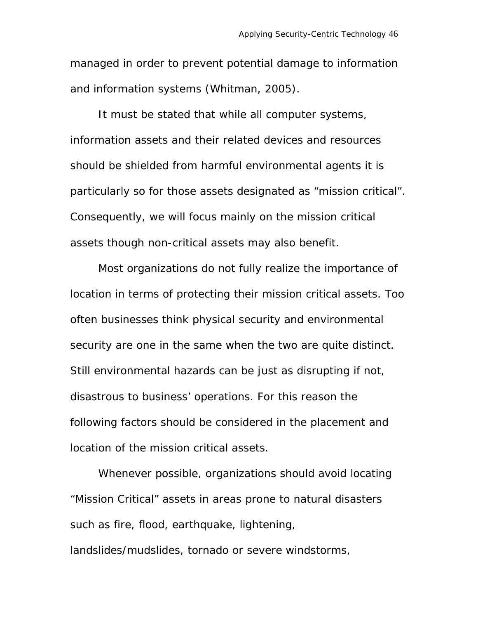managed in order to prevent potential damage to information and information systems (Whitman, 2005).

It must be stated that while all computer systems, information assets and their related devices and resources should be shielded from harmful environmental agents it is particularly so for those assets designated as "mission critical". Consequently, we will focus mainly on the mission critical assets though non-critical assets may also benefit.

Most organizations do not fully realize the importance of location in terms of protecting their mission critical assets. Too often businesses think physical security and environmental security are one in the same when the two are quite distinct. Still environmental hazards can be just as disrupting if not, disastrous to business' operations. For this reason the following factors should be considered in the placement and location of the mission critical assets.

Whenever possible, organizations should avoid locating "Mission Critical" assets in areas prone to natural disasters such as fire, flood, earthquake, lightening,

landslides/mudslides, tornado or severe windstorms,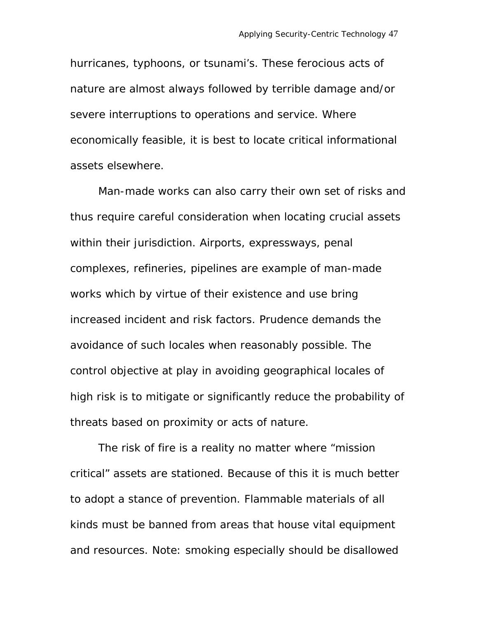hurricanes, typhoons, or tsunami's. These ferocious acts of nature are almost always followed by terrible damage and/or severe interruptions to operations and service. Where economically feasible, it is best to locate critical informational assets elsewhere.

Man-made works can also carry their own set of risks and thus require careful consideration when locating crucial assets within their jurisdiction. Airports, expressways, penal complexes, refineries, pipelines are example of man-made works which by virtue of their existence and use bring increased incident and risk factors. Prudence demands the avoidance of such locales when reasonably possible. The control objective at play in avoiding geographical locales of high risk is to mitigate or significantly reduce the probability of threats based on proximity or acts of nature.

The risk of fire is a reality no matter where "mission critical" assets are stationed. Because of this it is much better to adopt a stance of prevention. Flammable materials of all kinds must be banned from areas that house vital equipment and resources. Note: smoking especially should be disallowed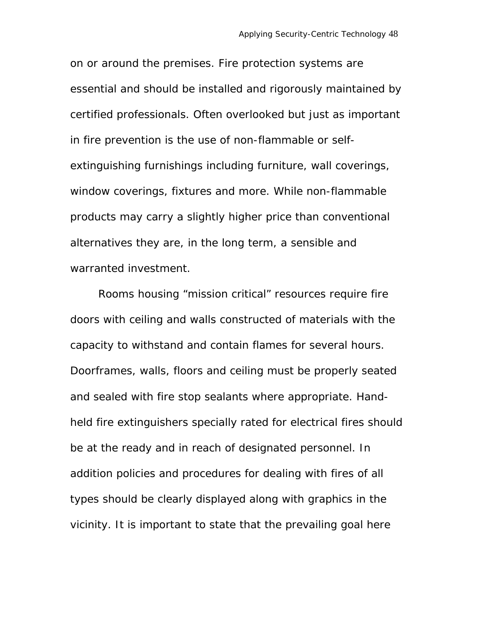on or around the premises. Fire protection systems are essential and should be installed and rigorously maintained by certified professionals. Often overlooked but just as important in fire prevention is the use of non-flammable or selfextinguishing furnishings including furniture, wall coverings, window coverings, fixtures and more. While non-flammable products may carry a slightly higher price than conventional alternatives they are, in the long term, a sensible and warranted investment.

Rooms housing "mission critical" resources require fire doors with ceiling and walls constructed of materials with the capacity to withstand and contain flames for several hours. Doorframes, walls, floors and ceiling must be properly seated and sealed with fire stop sealants where appropriate. Handheld fire extinguishers specially rated for electrical fires should be at the ready and in reach of designated personnel. In addition policies and procedures for dealing with fires of all types should be clearly displayed along with graphics in the vicinity. It is important to state that the prevailing goal here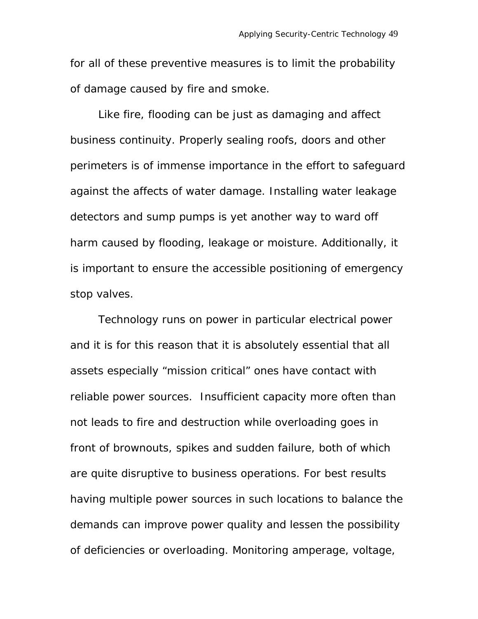for all of these preventive measures is to limit the probability of damage caused by fire and smoke.

Like fire, flooding can be just as damaging and affect business continuity. Properly sealing roofs, doors and other perimeters is of immense importance in the effort to safeguard against the affects of water damage. Installing water leakage detectors and sump pumps is yet another way to ward off harm caused by flooding, leakage or moisture. Additionally, it is important to ensure the accessible positioning of emergency stop valves.

Technology runs on power in particular electrical power and it is for this reason that it is absolutely essential that all assets especially "mission critical" ones have contact with reliable power sources. Insufficient capacity more often than not leads to fire and destruction while overloading goes in front of brownouts, spikes and sudden failure, both of which are quite disruptive to business operations. For best results having multiple power sources in such locations to balance the demands can improve power quality and lessen the possibility of deficiencies or overloading. Monitoring amperage, voltage,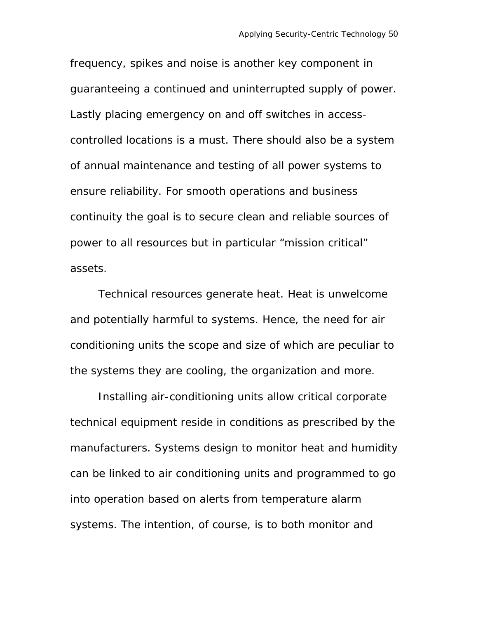frequency, spikes and noise is another key component in guaranteeing a continued and uninterrupted supply of power. Lastly placing emergency on and off switches in accesscontrolled locations is a must. There should also be a system of annual maintenance and testing of all power systems to ensure reliability. For smooth operations and business continuity the goal is to secure clean and reliable sources of power to all resources but in particular "mission critical" assets.

Technical resources generate heat. Heat is unwelcome and potentially harmful to systems. Hence, the need for air conditioning units the scope and size of which are peculiar to the systems they are cooling, the organization and more.

Installing air-conditioning units allow critical corporate technical equipment reside in conditions as prescribed by the manufacturers. Systems design to monitor heat and humidity can be linked to air conditioning units and programmed to go into operation based on alerts from temperature alarm systems. The intention, of course, is to both monitor and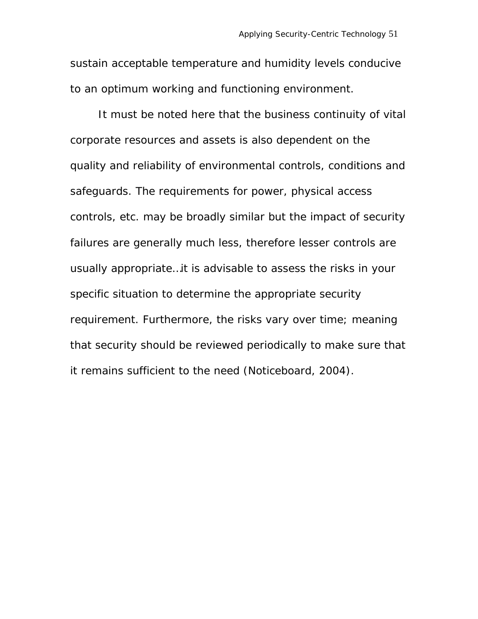sustain acceptable temperature and humidity levels conducive to an optimum working and functioning environment.

It must be noted here that the business continuity of vital corporate resources and assets is also dependent on the quality and reliability of environmental controls, conditions and safeguards. The requirements for power, physical access controls, etc. may be broadly similar but the impact of security failures are generally much less, therefore lesser controls are usually appropriate…it is advisable to assess the risks in your specific situation to determine the appropriate security requirement. Furthermore, the risks vary over time; meaning that security should be reviewed periodically to make sure that it remains sufficient to the need (Noticeboard, 2004).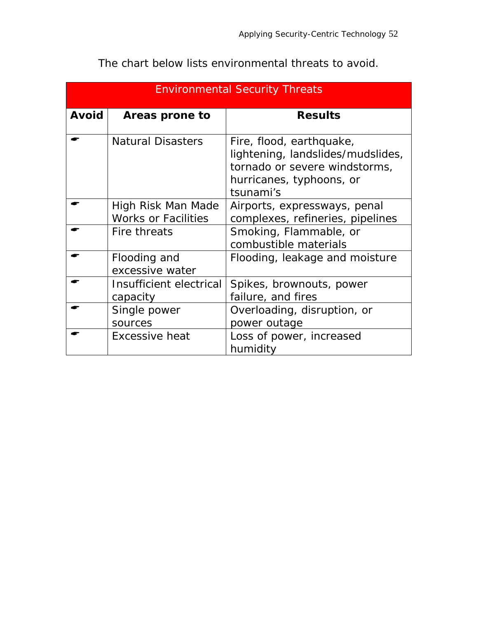| <b>Environmental Security Threats</b> |                                                  |                                                                                                                                         |  |
|---------------------------------------|--------------------------------------------------|-----------------------------------------------------------------------------------------------------------------------------------------|--|
| <b>Avoid</b>                          | Areas prone to                                   | <b>Results</b>                                                                                                                          |  |
|                                       | <b>Natural Disasters</b>                         | Fire, flood, earthquake,<br>lightening, landslides/mudslides,<br>tornado or severe windstorms,<br>hurricanes, typhoons, or<br>tsunami's |  |
|                                       | High Risk Man Made<br><b>Works or Facilities</b> | Airports, expressways, penal<br>complexes, refineries, pipelines                                                                        |  |
|                                       | Fire threats                                     | Smoking, Flammable, or<br>combustible materials                                                                                         |  |
|                                       | Flooding and<br>excessive water                  | Flooding, leakage and moisture                                                                                                          |  |
|                                       | Insufficient electrical<br>capacity              | Spikes, brownouts, power<br>failure, and fires                                                                                          |  |
|                                       | Single power<br>sources                          | Overloading, disruption, or<br>power outage                                                                                             |  |
|                                       | <b>Excessive heat</b>                            | Loss of power, increased<br>humidity                                                                                                    |  |

The chart below lists environmental threats to avoid.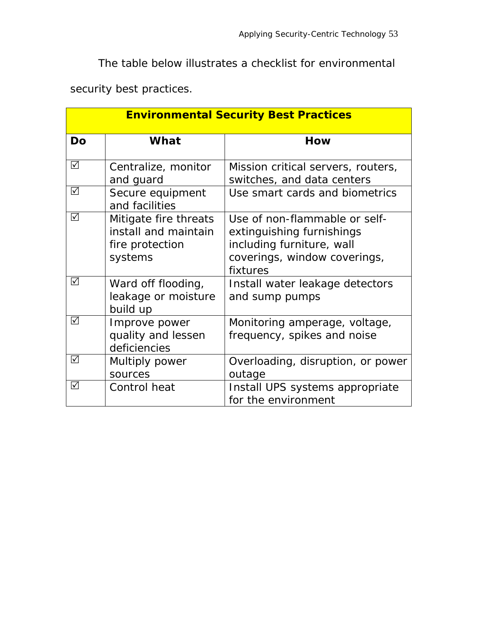The table below illustrates a checklist for environmental

security best practices.

| <b>Environmental Security Best Practices</b> |                                                                             |                                                                                                                                     |  |
|----------------------------------------------|-----------------------------------------------------------------------------|-------------------------------------------------------------------------------------------------------------------------------------|--|
| <b>Do</b>                                    | What                                                                        | How                                                                                                                                 |  |
| ☑                                            | Centralize, monitor<br>and guard                                            | Mission critical servers, routers,<br>switches, and data centers                                                                    |  |
| $\sqrt{ }$                                   | Secure equipment<br>and facilities                                          | Use smart cards and biometrics                                                                                                      |  |
| ☑                                            | Mitigate fire threats<br>install and maintain<br>fire protection<br>systems | Use of non-flammable or self-<br>extinguishing furnishings<br>including furniture, wall<br>coverings, window coverings,<br>fixtures |  |
| ☑                                            | Ward off flooding,<br>leakage or moisture<br>build up                       | Install water leakage detectors<br>and sump pumps                                                                                   |  |
| ☑                                            | Improve power<br>quality and lessen<br>deficiencies                         | Monitoring amperage, voltage,<br>frequency, spikes and noise                                                                        |  |
| ☑                                            | Multiply power<br>sources                                                   | Overloading, disruption, or power<br>outage                                                                                         |  |
| ☑                                            | Control heat                                                                | Install UPS systems appropriate<br>for the environment                                                                              |  |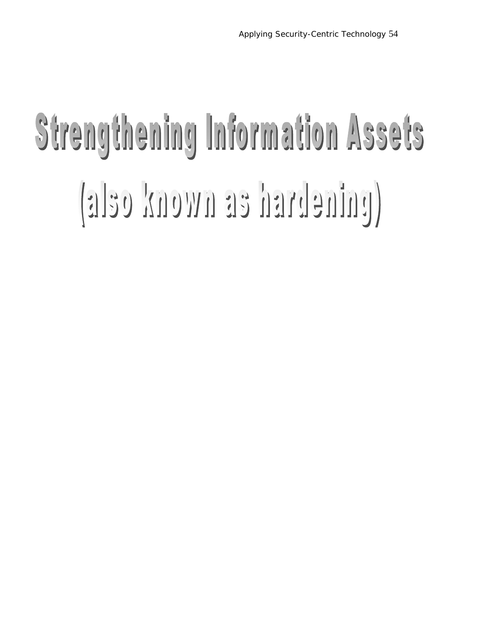## Strengthening Information Assets (also known as hardening)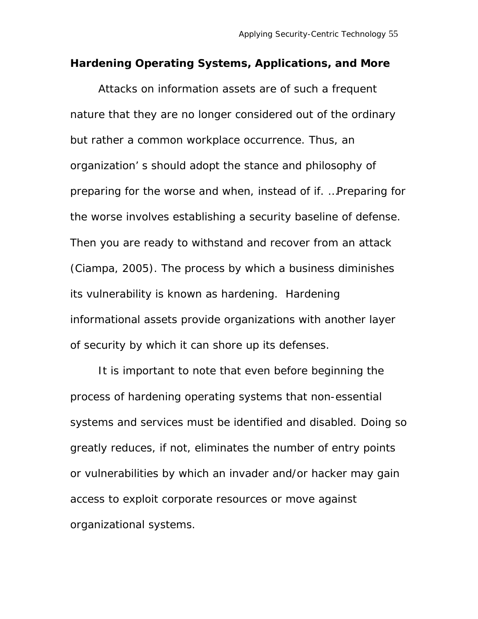### **Hardening Operating Systems, Applications, and More**

Attacks on information assets are of such a frequent nature that they are no longer considered out of the ordinary but rather a common workplace occurrence. Thus, an organization' s should adopt the stance and philosophy of preparing for the worse and when, instead of if. …Preparing for the worse involves establishing a security baseline of defense. Then you are ready to withstand and recover from an attack (Ciampa, 2005). The process by which a business diminishes its vulnerability is known as hardening. Hardening informational assets provide organizations with another layer of security by which it can shore up its defenses.

It is important to note that even before beginning the process of hardening operating systems that non-essential systems and services must be identified and disabled. Doing so greatly reduces, if not, eliminates the number of entry points or vulnerabilities by which an invader and/or hacker may gain access to exploit corporate resources or move against organizational systems.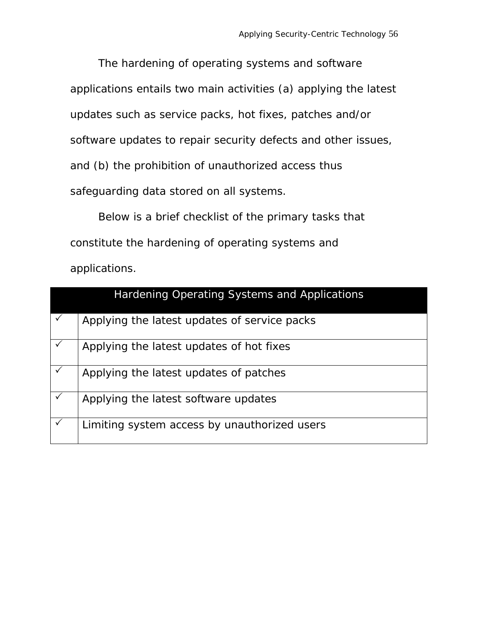The hardening of operating systems and software applications entails two main activities (a) applying the latest updates such as service packs, hot fixes, patches and/or software updates to repair security defects and other issues, and (b) the prohibition of unauthorized access thus safeguarding data stored on all systems.

Below is a brief checklist of the primary tasks that constitute the hardening of operating systems and applications.

|              | Hardening Operating Systems and Applications |
|--------------|----------------------------------------------|
| $\checkmark$ | Applying the latest updates of service packs |
| $\checkmark$ | Applying the latest updates of hot fixes     |
| $\checkmark$ | Applying the latest updates of patches       |
| $\checkmark$ | Applying the latest software updates         |
| $\checkmark$ | Limiting system access by unauthorized users |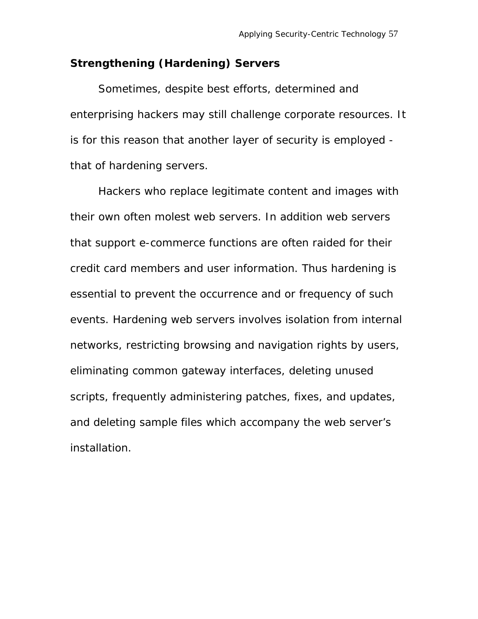### **Strengthening (Hardening) Servers**

Sometimes, despite best efforts, determined and enterprising hackers may still challenge corporate resources. It is for this reason that another layer of security is employed that of hardening servers.

Hackers who replace legitimate content and images with their own often molest web servers. In addition web servers that support e-commerce functions are often raided for their credit card members and user information. Thus hardening is essential to prevent the occurrence and or frequency of such events. Hardening web servers involves isolation from internal networks, restricting browsing and navigation rights by users, eliminating common gateway interfaces, deleting unused scripts, frequently administering patches, fixes, and updates, and deleting sample files which accompany the web server's installation.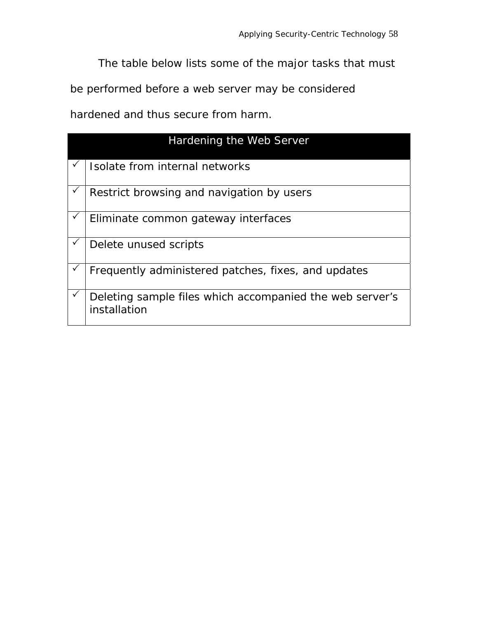The table below lists some of the major tasks that must

be performed before a web server may be considered

hardened and thus secure from harm.

| Hardening the Web Server                                                 |  |  |  |
|--------------------------------------------------------------------------|--|--|--|
| Isolate from internal networks                                           |  |  |  |
| Restrict browsing and navigation by users                                |  |  |  |
| Eliminate common gateway interfaces                                      |  |  |  |
| Delete unused scripts                                                    |  |  |  |
| Frequently administered patches, fixes, and updates                      |  |  |  |
| Deleting sample files which accompanied the web server's<br>installation |  |  |  |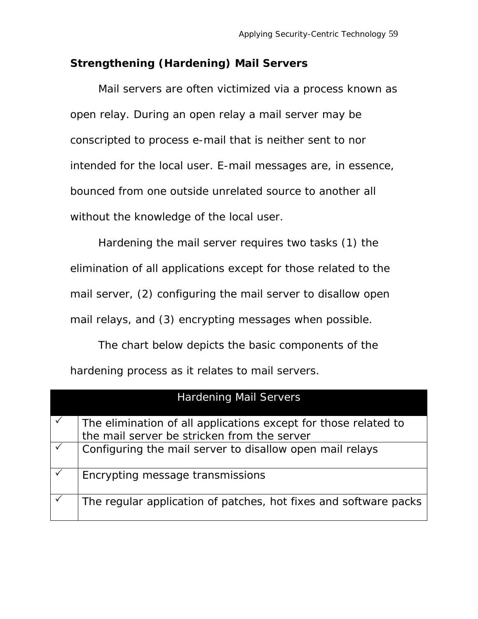### **Strengthening (Hardening) Mail Servers**

 Mail servers are often victimized via a process known as open relay. During an open relay a mail server may be conscripted to process e-mail that is neither sent to nor intended for the local user. E-mail messages are, in essence, bounced from one outside unrelated source to another all without the knowledge of the local user.

Hardening the mail server requires two tasks (1) the elimination of all applications except for those related to the mail server, (2) configuring the mail server to disallow open mail relays, and (3) encrypting messages when possible.

The chart below depicts the basic components of the hardening process as it relates to mail servers.

| <b>Hardening Mail Servers</b> |                                                                                                                |  |  |
|-------------------------------|----------------------------------------------------------------------------------------------------------------|--|--|
|                               | The elimination of all applications except for those related to<br>the mail server be stricken from the server |  |  |
|                               | Configuring the mail server to disallow open mail relays                                                       |  |  |
|                               | Encrypting message transmissions                                                                               |  |  |
|                               | The regular application of patches, hot fixes and software packs                                               |  |  |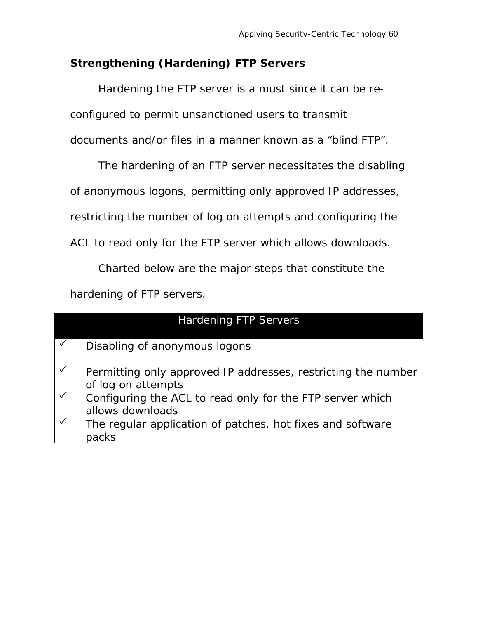### **Strengthening (Hardening) FTP Servers**

Hardening the FTP server is a must since it can be re-

configured to permit unsanctioned users to transmit

documents and/or files in a manner known as a "blind FTP".

The hardening of an FTP server necessitates the disabling

of anonymous logons, permitting only approved IP addresses,

restricting the number of log on attempts and configuring the

ACL to read only for the FTP server which allows downloads.

Charted below are the major steps that constitute the hardening of FTP servers.

| <b>Hardening FTP Servers</b> |                                                                                     |  |  |
|------------------------------|-------------------------------------------------------------------------------------|--|--|
|                              | Disabling of anonymous logons                                                       |  |  |
|                              | Permitting only approved IP addresses, restricting the number<br>of log on attempts |  |  |
|                              | Configuring the ACL to read only for the FTP server which<br>allows downloads       |  |  |
|                              | The regular application of patches, hot fixes and software<br>packs                 |  |  |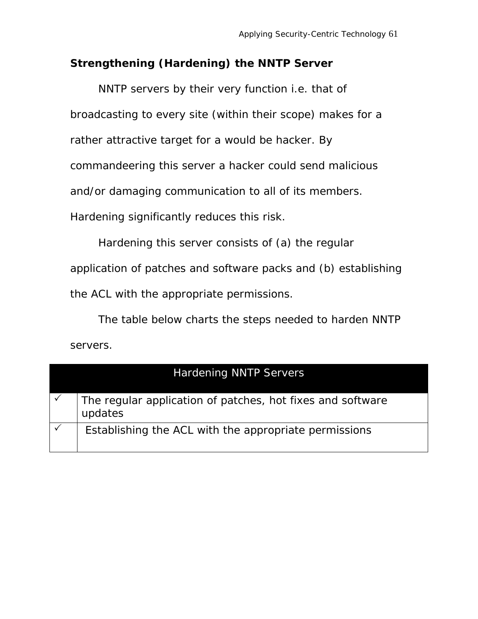### **Strengthening (Hardening) the NNTP Server**

NNTP servers by their very function i.e. that of broadcasting to every site (within their scope) makes for a rather attractive target for a would be hacker. By commandeering this server a hacker could send malicious and/or damaging communication to all of its members. Hardening significantly reduces this risk.

Hardening this server consists of (a) the regular application of patches and software packs and (b) establishing the ACL with the appropriate permissions.

The table below charts the steps needed to harden NNTP servers.

| <b>Hardening NNTP Servers</b> |                                                                       |  |  |
|-------------------------------|-----------------------------------------------------------------------|--|--|
|                               | The regular application of patches, hot fixes and software<br>updates |  |  |
|                               | Establishing the ACL with the appropriate permissions                 |  |  |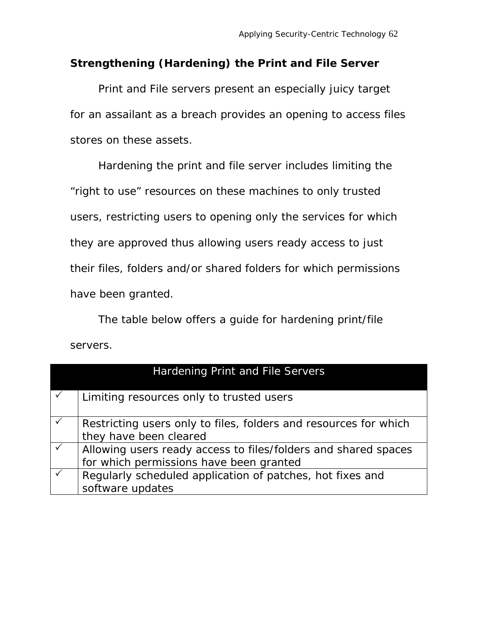### **Strengthening (Hardening) the Print and File Server**

Print and File servers present an especially juicy target for an assailant as a breach provides an opening to access files stores on these assets.

Hardening the print and file server includes limiting the "right to use" resources on these machines to only trusted users, restricting users to opening only the services for which they are approved thus allowing users ready access to just their files, folders and/or shared folders for which permissions have been granted.

The table below offers a guide for hardening print/file servers.

| Hardening Print and File Servers                                                                          |  |  |  |
|-----------------------------------------------------------------------------------------------------------|--|--|--|
| Limiting resources only to trusted users                                                                  |  |  |  |
| Restricting users only to files, folders and resources for which<br>they have been cleared                |  |  |  |
| Allowing users ready access to files/folders and shared spaces<br>for which permissions have been granted |  |  |  |
| Regularly scheduled application of patches, hot fixes and<br>software updates                             |  |  |  |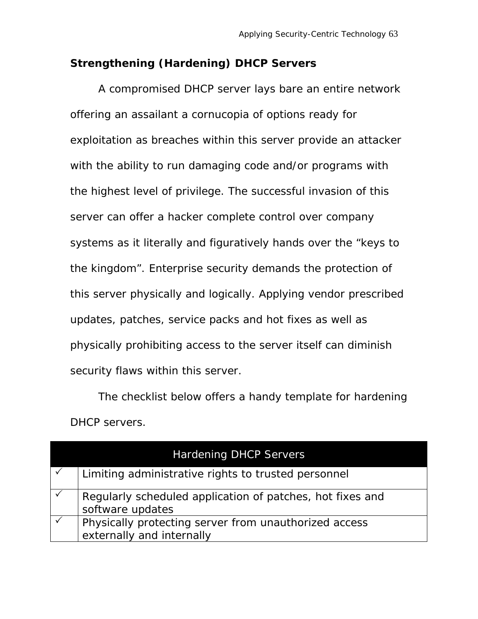### **Strengthening (Hardening) DHCP Servers**

A compromised DHCP server lays bare an entire network offering an assailant a cornucopia of options ready for exploitation as breaches within this server provide an attacker with the ability to run damaging code and/or programs with the highest level of privilege. The successful invasion of this server can offer a hacker complete control over company systems as it literally and figuratively hands over the "keys to the kingdom". Enterprise security demands the protection of this server physically and logically. Applying vendor prescribed updates, patches, service packs and hot fixes as well as physically prohibiting access to the server itself can diminish security flaws within this server.

The checklist below offers a handy template for hardening DHCP servers.

| <b>Hardening DHCP Servers</b>                                                      |
|------------------------------------------------------------------------------------|
| Limiting administrative rights to trusted personnel                                |
| Regularly scheduled application of patches, hot fixes and<br>software updates      |
| Physically protecting server from unauthorized access<br>externally and internally |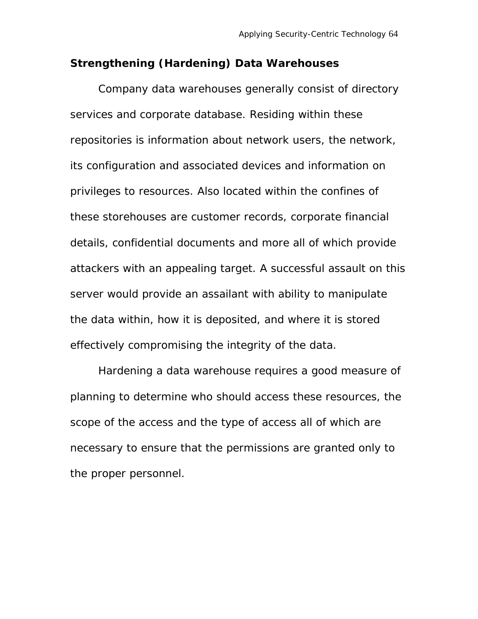### **Strengthening (Hardening) Data Warehouses**

Company data warehouses generally consist of directory services and corporate database. Residing within these repositories is information about network users, the network, its configuration and associated devices and information on privileges to resources. Also located within the confines of these storehouses are customer records, corporate financial details, confidential documents and more all of which provide attackers with an appealing target. A successful assault on this server would provide an assailant with ability to manipulate the data within, how it is deposited, and where it is stored effectively compromising the integrity of the data.

 Hardening a data warehouse requires a good measure of planning to determine who should access these resources, the scope of the access and the type of access all of which are necessary to ensure that the permissions are granted only to the proper personnel.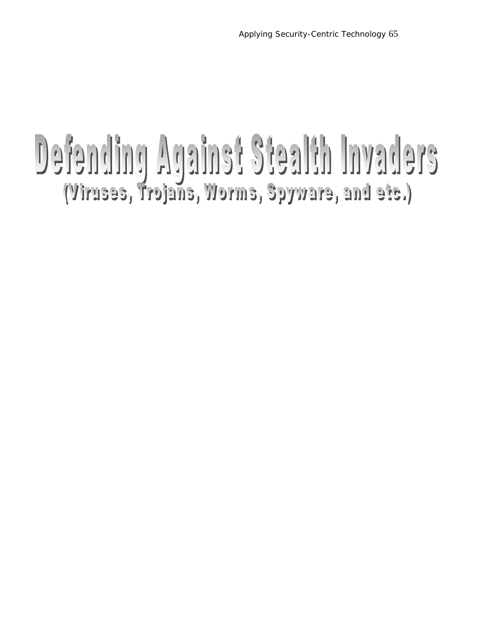# Defending Against Stealth Invaders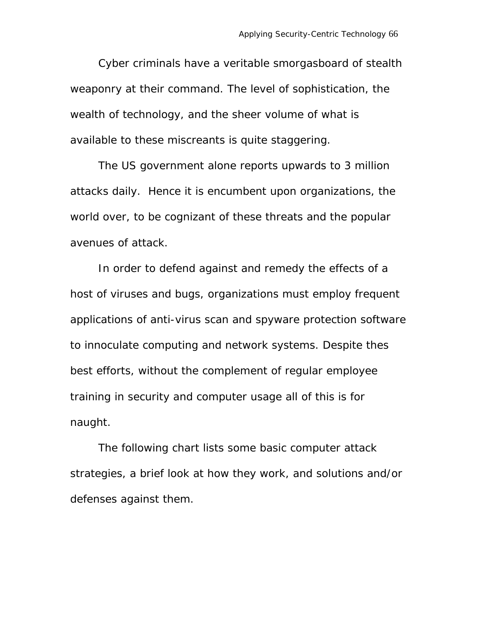Cyber criminals have a veritable smorgasboard of stealth weaponry at their command. The level of sophistication, the wealth of technology, and the sheer volume of what is available to these miscreants is quite staggering.

The US government alone reports upwards to 3 million attacks daily. Hence it is encumbent upon organizations, the world over, to be cognizant of these threats and the popular avenues of attack.

In order to defend against and remedy the effects of a host of viruses and bugs, organizations must employ frequent applications of anti-virus scan and spyware protection software to innoculate computing and network systems. Despite thes best efforts, without the complement of regular employee training in security and computer usage all of this is for naught.

The following chart lists some basic computer attack strategies, a brief look at how they work, and solutions and/or defenses against them.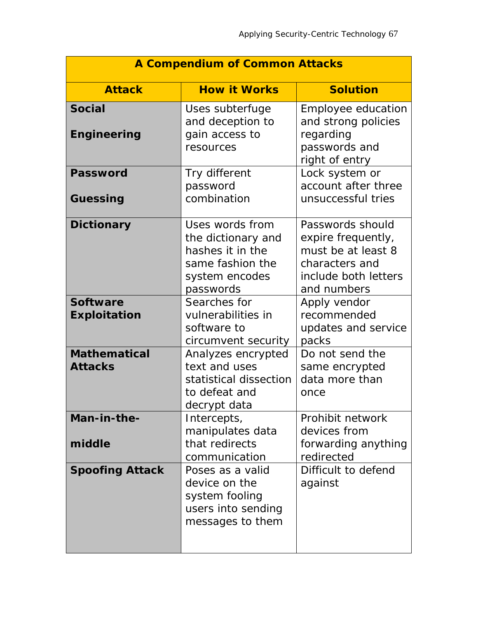| <b>A Compendium of Common Attacks</b>  |                                                                                                              |                                                                                                                       |  |
|----------------------------------------|--------------------------------------------------------------------------------------------------------------|-----------------------------------------------------------------------------------------------------------------------|--|
| <b>Attack</b>                          | <b>How it Works</b>                                                                                          | <b>Solution</b>                                                                                                       |  |
| <b>Social</b><br><b>Engineering</b>    | Uses subterfuge<br>and deception to<br>gain access to<br>resources                                           | Employee education<br>and strong policies<br>regarding<br>passwords and<br>right of entry                             |  |
| <b>Password</b><br>Guessing            | Try different<br>password<br>combination                                                                     | Lock system or<br>account after three<br>unsuccessful tries                                                           |  |
| <b>Dictionary</b>                      | Uses words from<br>the dictionary and<br>hashes it in the<br>same fashion the<br>system encodes<br>passwords | Passwords should<br>expire frequently,<br>must be at least 8<br>characters and<br>include both letters<br>and numbers |  |
| <b>Software</b><br><b>Exploitation</b> | Searches for<br>vulnerabilities in<br>software to<br>circumvent security                                     | Apply vendor<br>recommended<br>updates and service<br>packs                                                           |  |
| <b>Mathematical</b><br><b>Attacks</b>  | Analyzes encrypted<br>text and uses<br>statistical dissection<br>to defeat and<br>decrypt data               | Do not send the<br>same encrypted<br>data more than<br>once                                                           |  |
| Man-in-the-<br>middle                  | Intercepts,<br>manipulates data<br>that redirects<br>communication                                           | Prohibit network<br>devices from<br>forwarding anything<br>redirected                                                 |  |
| <b>Spoofing Attack</b>                 | Poses as a valid<br>device on the<br>system fooling<br>users into sending<br>messages to them                | Difficult to defend<br>against                                                                                        |  |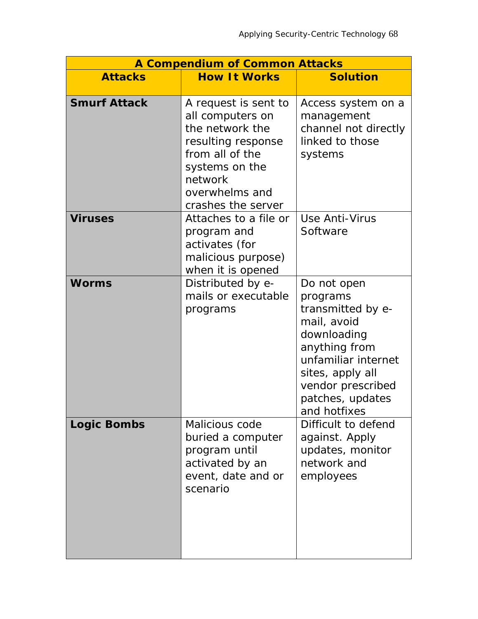| <b>A Compendium of Common Attacks</b> |                                                                                                                                                                           |                                                                                                                                                                                                 |  |
|---------------------------------------|---------------------------------------------------------------------------------------------------------------------------------------------------------------------------|-------------------------------------------------------------------------------------------------------------------------------------------------------------------------------------------------|--|
| <b>Attacks</b>                        | <b>How It Works</b>                                                                                                                                                       | <b>Solution</b>                                                                                                                                                                                 |  |
| <b>Smurf Attack</b>                   | A request is sent to<br>all computers on<br>the network the<br>resulting response<br>from all of the<br>systems on the<br>network<br>overwhelms and<br>crashes the server | Access system on a<br>management<br>channel not directly<br>linked to those<br>systems                                                                                                          |  |
| <b>Viruses</b>                        | Attaches to a file or<br>program and<br>activates (for<br>malicious purpose)<br>when it is opened                                                                         | Use Anti-Virus<br>Software                                                                                                                                                                      |  |
| <b>Worms</b>                          | Distributed by e-<br>mails or executable<br>programs                                                                                                                      | Do not open<br>programs<br>transmitted by e-<br>mail, avoid<br>downloading<br>anything from<br>unfamiliar internet<br>sites, apply all<br>vendor prescribed<br>patches, updates<br>and hotfixes |  |
| <b>Logic Bombs</b>                    | Malicious code<br>buried a computer<br>program until<br>activated by an<br>event, date and or<br>scenario                                                                 | Difficult to defend<br>against. Apply<br>updates, monitor<br>network and<br>employees                                                                                                           |  |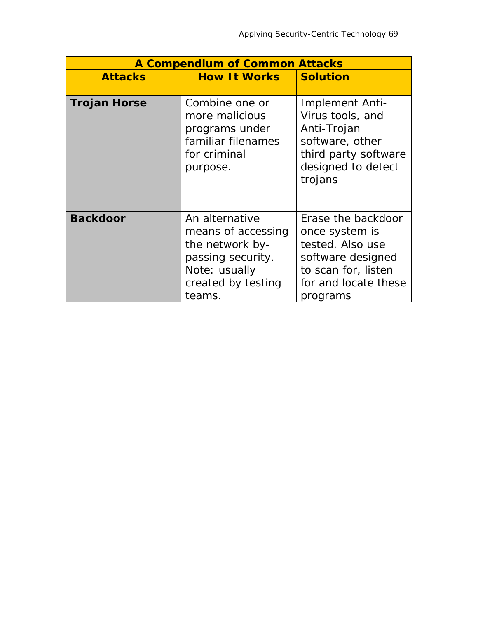| <b>A Compendium of Common Attacks</b> |                                                                                                                               |                                                                                                                                          |  |
|---------------------------------------|-------------------------------------------------------------------------------------------------------------------------------|------------------------------------------------------------------------------------------------------------------------------------------|--|
| <b>Attacks</b>                        | <b>How It Works</b>                                                                                                           | <b>Solution</b>                                                                                                                          |  |
|                                       |                                                                                                                               |                                                                                                                                          |  |
| <b>Trojan Horse</b>                   | Combine one or<br>more malicious<br>programs under<br>familiar filenames<br>for criminal<br>purpose.                          | Implement Anti-<br>Virus tools, and<br>Anti-Trojan<br>software, other<br>third party software<br>designed to detect<br>trojans           |  |
| <b>Backdoor</b>                       | An alternative<br>means of accessing<br>the network by-<br>passing security.<br>Note: usually<br>created by testing<br>teams. | Erase the backdoor<br>once system is<br>tested. Also use<br>software designed<br>to scan for, listen<br>for and locate these<br>programs |  |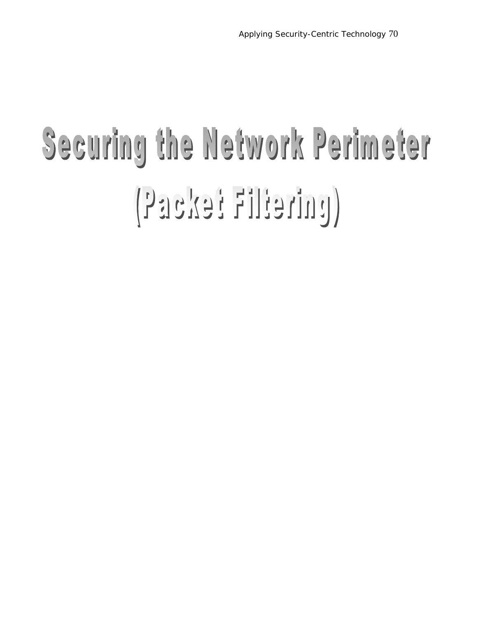### Securing the Network Perimeter (pateilit fexast)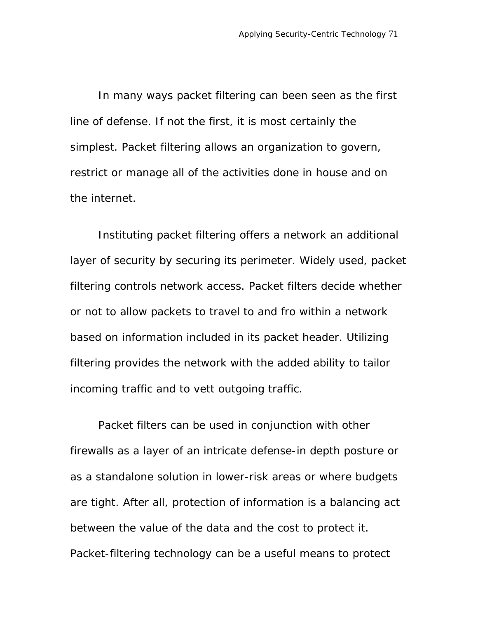In many ways packet filtering can been seen as the first line of defense. If not the first, it is most certainly the simplest. Packet filtering allows an organization to govern, restrict or manage all of the activities done in house and on the internet.

Instituting packet filtering offers a network an additional layer of security by securing its perimeter. Widely used, packet filtering controls network access. Packet filters decide whether or not to allow packets to travel to and fro within a network based on information included in its packet header. Utilizing filtering provides the network with the added ability to tailor incoming traffic and to vett outgoing traffic.

Packet filters can be used in conjunction with other firewalls as a layer of an intricate defense-in depth posture or as a standalone solution in lower-risk areas or where budgets are tight. After all, protection of information is a balancing act between the value of the data and the cost to protect it. Packet-filtering technology can be a useful means to protect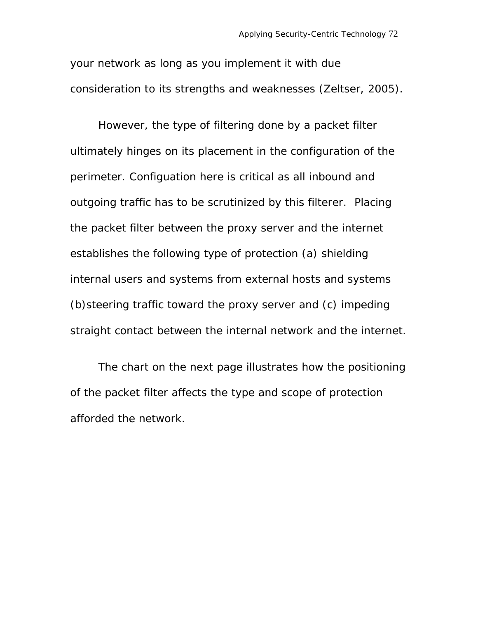your network as long as you implement it with due consideration to its strengths and weaknesses (Zeltser, 2005).

However, the type of filtering done by a packet filter ultimately hinges on its placement in the configuration of the perimeter. Configuation here is critical as all inbound and outgoing traffic has to be scrutinized by this filterer. Placing the packet filter between the proxy server and the internet establishes the following type of protection (a) shielding internal users and systems from external hosts and systems (b)steering traffic toward the proxy server and (c) impeding straight contact between the internal network and the internet.

The chart on the next page illustrates how the positioning of the packet filter affects the type and scope of protection afforded the network.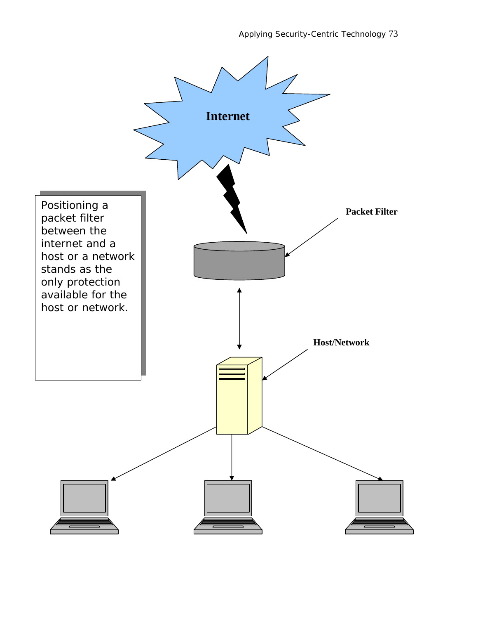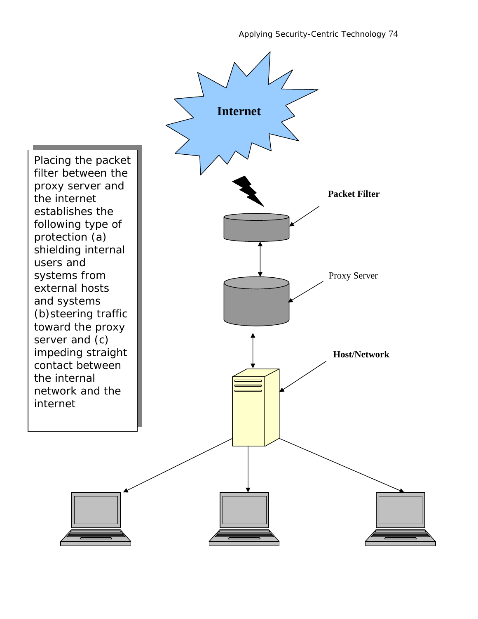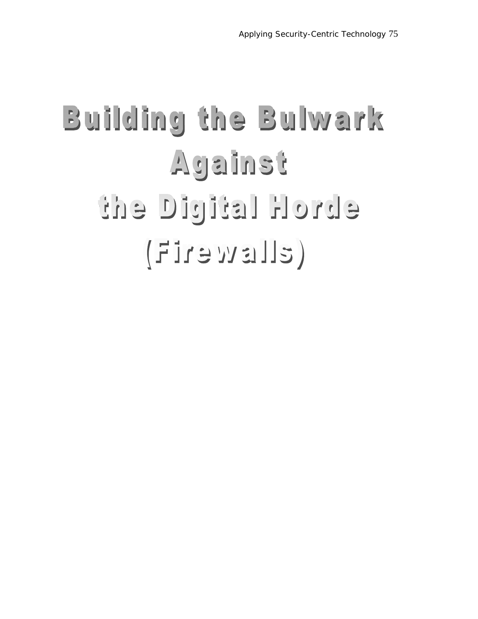#### Building the Bulwark Against ebrok letipid ent  $(EII \text{ is } w \text{ s if } I)$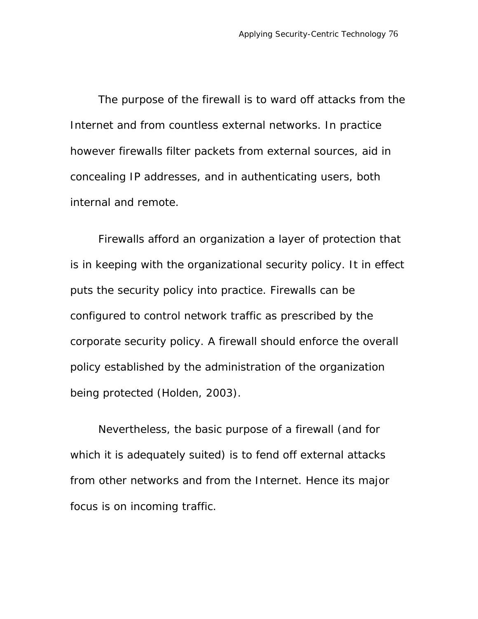The purpose of the firewall is to ward off attacks from the Internet and from countless external networks. In practice however firewalls filter packets from external sources, aid in concealing IP addresses, and in authenticating users, both internal and remote.

Firewalls afford an organization a layer of protection that is in keeping with the organizational security policy. It in effect puts the security policy into practice. Firewalls can be configured to control network traffic as prescribed by the corporate security policy. A firewall should enforce the overall policy established by the administration of the organization being protected (Holden, 2003).

Nevertheless, the basic purpose of a firewall (and for which it is adequately suited) is to fend off external attacks from other networks and from the Internet. Hence its major focus is on incoming traffic.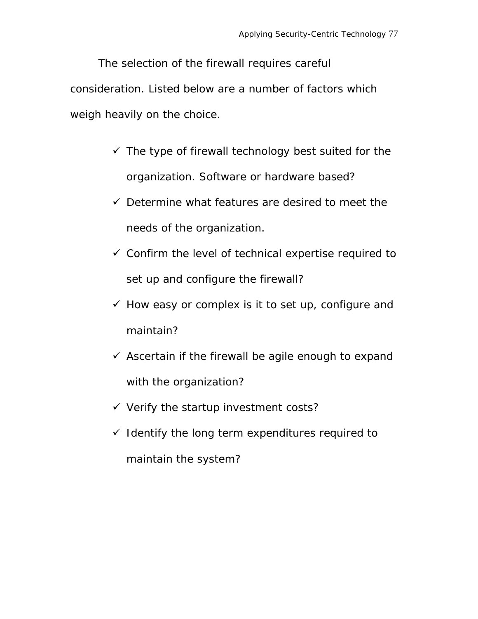The selection of the firewall requires careful consideration. Listed below are a number of factors which weigh heavily on the choice.

- $\checkmark$  The type of firewall technology best suited for the organization. Software or hardware based?
- $\checkmark$  Determine what features are desired to meet the needs of the organization.
- $\checkmark$  Confirm the level of technical expertise required to set up and configure the firewall?
- $\checkmark$  How easy or complex is it to set up, configure and maintain?
- $\checkmark$  Ascertain if the firewall be agile enough to expand with the organization?
- $\checkmark$  Verify the startup investment costs?
- $\checkmark$  Identify the long term expenditures required to maintain the system?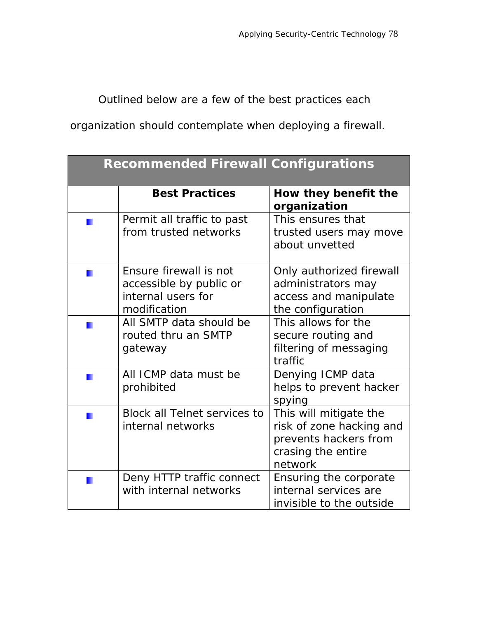Outlined below are a few of the best practices each

organization should contemplate when deploying a firewall.

| <b>Recommended Firewall Configurations</b> |                                                                                         |                                                                                                              |  |  |
|--------------------------------------------|-----------------------------------------------------------------------------------------|--------------------------------------------------------------------------------------------------------------|--|--|
|                                            | <b>Best Practices</b>                                                                   | How they benefit the<br>organization                                                                         |  |  |
|                                            | Permit all traffic to past<br>from trusted networks                                     | This ensures that<br>trusted users may move<br>about unvetted                                                |  |  |
|                                            | Ensure firewall is not<br>accessible by public or<br>internal users for<br>modification | Only authorized firewall<br>administrators may<br>access and manipulate<br>the configuration                 |  |  |
|                                            | All SMTP data should be<br>routed thru an SMTP<br>gateway                               | This allows for the<br>secure routing and<br>filtering of messaging<br>traffic                               |  |  |
|                                            | All ICMP data must be<br>prohibited                                                     | Denying ICMP data<br>helps to prevent hacker<br>spying                                                       |  |  |
|                                            | Block all Telnet services to<br>internal networks                                       | This will mitigate the<br>risk of zone hacking and<br>prevents hackers from<br>crasing the entire<br>network |  |  |
|                                            | Deny HTTP traffic connect<br>with internal networks                                     | Ensuring the corporate<br>internal services are<br>invisible to the outside                                  |  |  |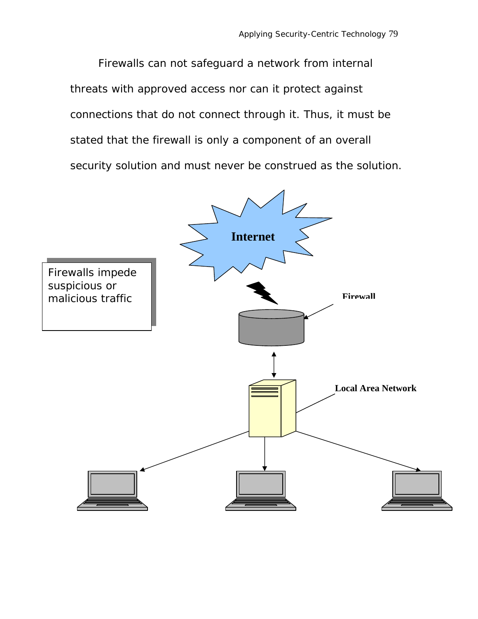Firewalls can not safeguard a network from internal threats with approved access nor can it protect against connections that do not connect through it. Thus, it must be stated that the firewall is only a component of an overall security solution and must never be construed as *the* solution.

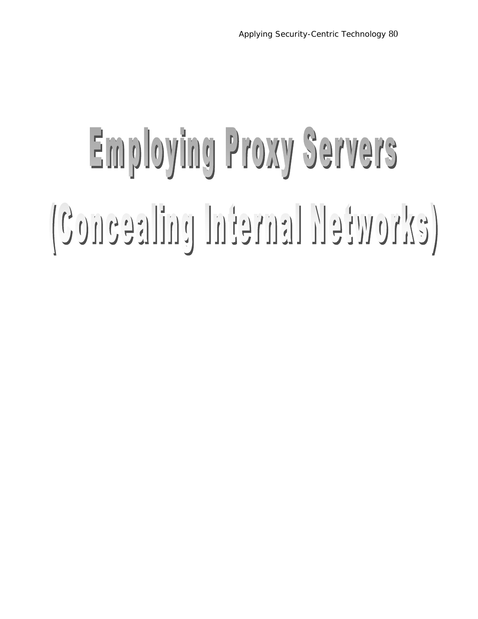# Employing Proxy Servers Concealing Internal Networks)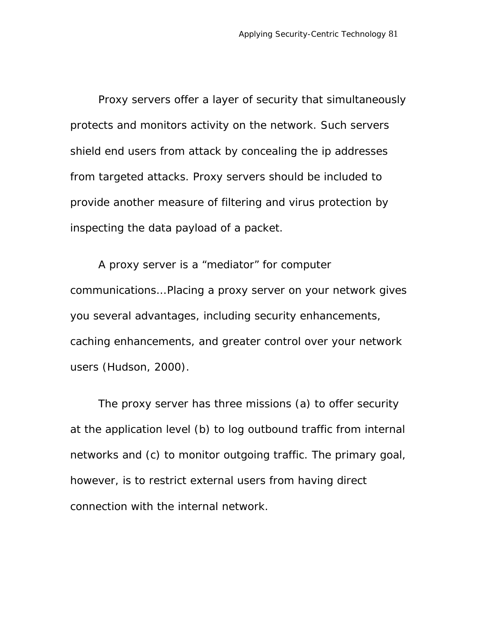Proxy servers offer a layer of security that simultaneously protects and monitors activity on the network. Such servers shield end users from attack by concealing the ip addresses from targeted attacks. Proxy servers should be included to provide another measure of filtering and virus protection by inspecting the data payload of a packet.

A proxy server is a "mediator" for computer communications… Placing a proxy server on your network gives you several advantages, including security enhancements, caching enhancements, and greater control over your network users (Hudson, 2000).

The proxy server has three missions (a) to offer security at the application level (b) to log outbound traffic from internal networks and (c) to monitor outgoing traffic. The primary goal, however, is to restrict external users from having direct connection with the internal network.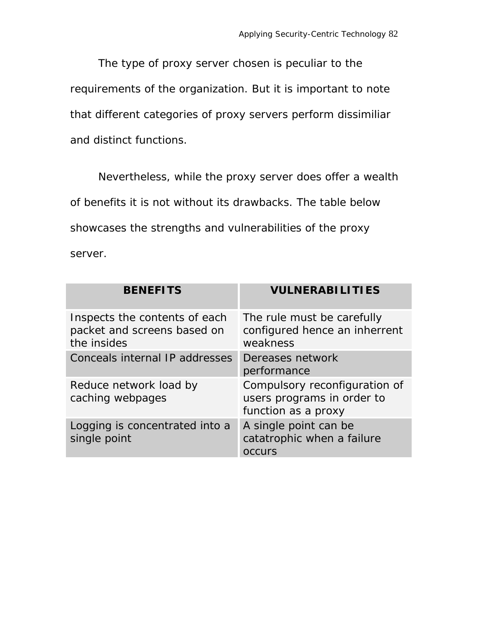The type of proxy server chosen is peculiar to the requirements of the organization. But it is important to note that different categories of proxy servers perform dissimiliar and distinct functions.

Nevertheless, while the proxy server does offer a wealth of benefits it is not without its drawbacks. The table below showcases the strengths and vulnerabilities of the proxy server.

| <b>BENEFITS</b>                                                             | <b>VULNERABILITIES</b>                                                             |
|-----------------------------------------------------------------------------|------------------------------------------------------------------------------------|
| Inspects the contents of each<br>packet and screens based on<br>the insides | The rule must be carefully<br>configured hence an inherrent<br>weakness            |
| Conceals internal IP addresses                                              | Dereases network<br>performance                                                    |
| Reduce network load by<br>caching webpages                                  | Compulsory reconfiguration of<br>users programs in order to<br>function as a proxy |
| Logging is concentrated into a<br>single point                              | A single point can be<br>catatrophic when a failure<br>occurs                      |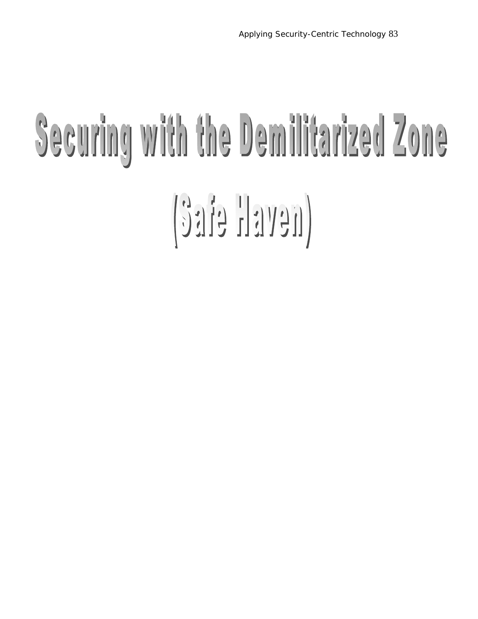### Securing with the Demilitarized Zone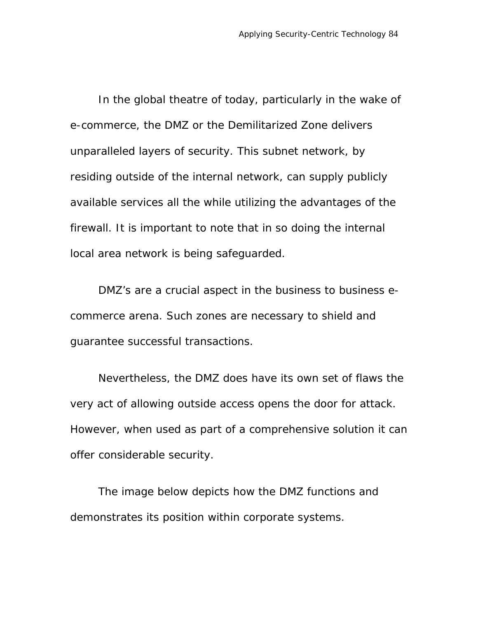In the global theatre of today, particularly in the wake of e-commerce, the DMZ or the Demilitarized Zone delivers unparalleled layers of security. This subnet network, by residing outside of the internal network, can supply publicly available services all the while utilizing the advantages of the firewall. It is important to note that in so doing the internal local area network is being safeguarded.

DMZ's are a crucial aspect in the business to business ecommerce arena. Such zones are necessary to shield and guarantee successful transactions.

Nevertheless, the DMZ does have its own set of flaws the very act of allowing outside access opens the door for attack. However, when used as part of a comprehensive solution it can offer considerable security.

The image below depicts how the DMZ functions and demonstrates its position within corporate systems.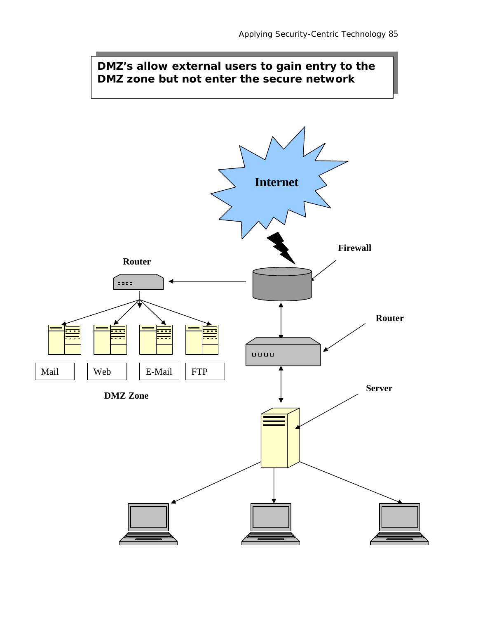#### **DMZ's allow external users to gain entry to the DMZ zone but not enter the secure network**

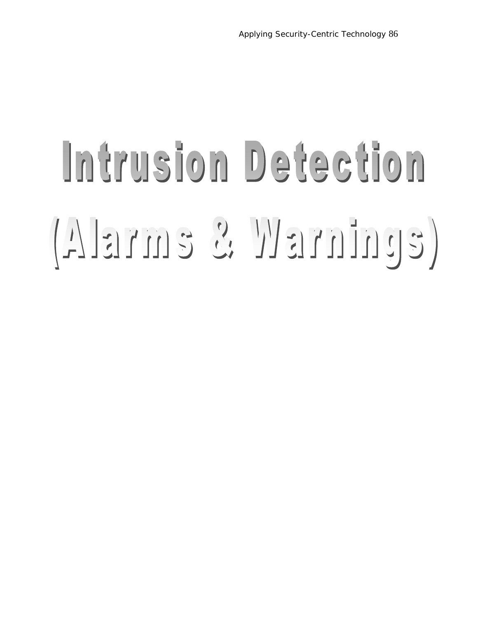### Intrusion Detection (EULLINELY ENELA)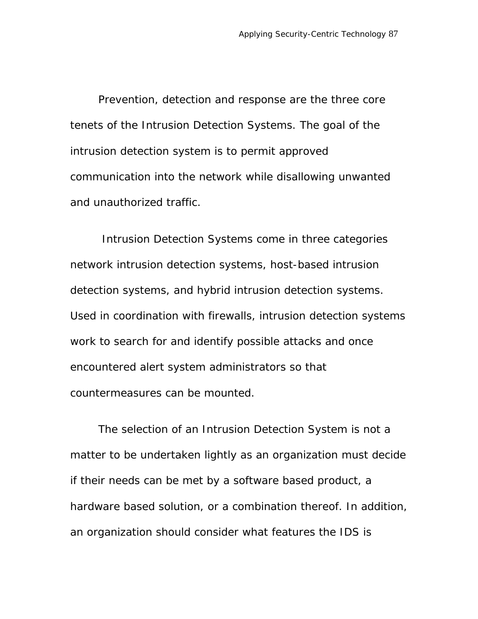Prevention, detection and response are the three core tenets of the Intrusion Detection Systems. The goal of the intrusion detection system is to permit approved communication into the network while disallowing unwanted and unauthorized traffic.

 Intrusion Detection Systems come in three categories network intrusion detection systems, host-based intrusion detection systems, and hybrid intrusion detection systems. Used in coordination with firewalls, intrusion detection systems work to search for and identify possible attacks and once encountered alert system administrators so that countermeasures can be mounted.

The selection of an Intrusion Detection System is not a matter to be undertaken lightly as an organization must decide if their needs can be met by a software based product, a hardware based solution, or a combination thereof. In addition, an organization should consider what features the IDS is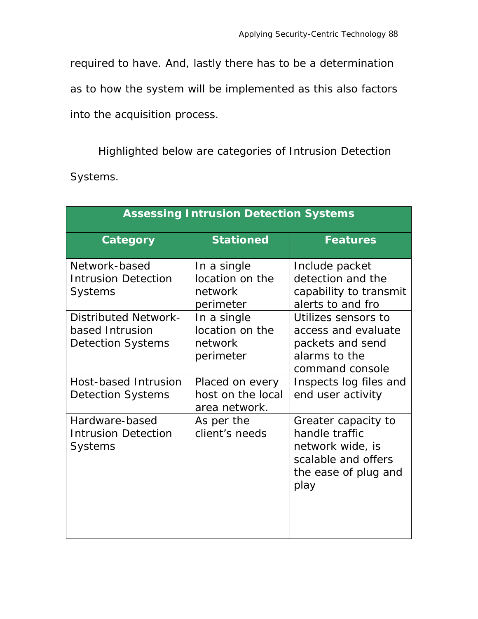required to have. And, lastly there has to be a determination as to how the system will be implemented as this also factors into the acquisition process.

Highlighted below are categories of Intrusion Detection Systems.

| <b>Assessing Intrusion Detection Systems</b>                               |                                                        |                                                                                                                  |  |  |  |  |
|----------------------------------------------------------------------------|--------------------------------------------------------|------------------------------------------------------------------------------------------------------------------|--|--|--|--|
| Category                                                                   | <b>Stationed</b>                                       | <b>Features</b>                                                                                                  |  |  |  |  |
| Network-based<br><b>Intrusion Detection</b><br><b>Systems</b>              | In a single<br>location on the<br>network<br>perimeter | Include packet<br>detection and the<br>capability to transmit<br>alerts to and fro                               |  |  |  |  |
| <b>Distributed Network-</b><br>based Intrusion<br><b>Detection Systems</b> | In a single<br>location on the<br>network<br>perimeter | Utilizes sensors to<br>access and evaluate<br>packets and send<br>alarms to the<br>command console               |  |  |  |  |
| Host-based Intrusion<br><b>Detection Systems</b>                           | Placed on every<br>host on the local<br>area network.  | Inspects log files and<br>end user activity                                                                      |  |  |  |  |
| Hardware-based<br><b>Intrusion Detection</b><br><b>Systems</b>             | As per the<br>client's needs                           | Greater capacity to<br>handle traffic<br>network wide, is<br>scalable and offers<br>the ease of plug and<br>play |  |  |  |  |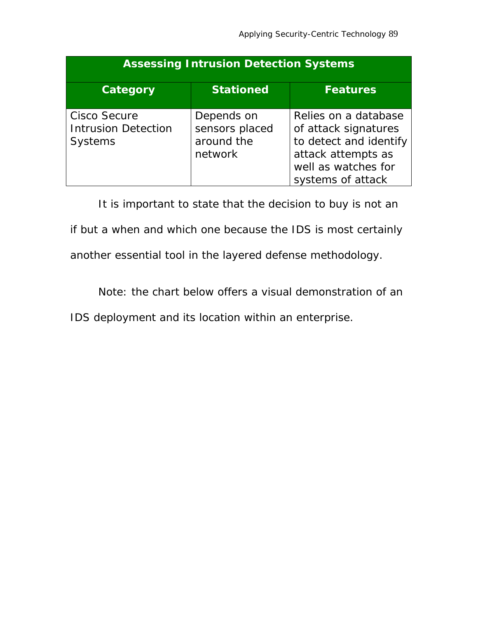| <b>Assessing Intrusion Detection Systems</b>                        |                                                       |                                                                                                                                          |  |  |  |
|---------------------------------------------------------------------|-------------------------------------------------------|------------------------------------------------------------------------------------------------------------------------------------------|--|--|--|
| <b>Category</b>                                                     | <b>Stationed</b>                                      | <b>Features</b>                                                                                                                          |  |  |  |
| <b>Cisco Secure</b><br><b>Intrusion Detection</b><br><b>Systems</b> | Depends on<br>sensors placed<br>around the<br>network | Relies on a database<br>of attack signatures<br>to detect and identify<br>attack attempts as<br>well as watches for<br>systems of attack |  |  |  |

It is important to state that the decision to buy is not an

if but a when and which one because the IDS is most certainly

another essential tool in the layered defense methodology.

Note: the chart below offers a visual demonstration of an

IDS deployment and its location within an enterprise.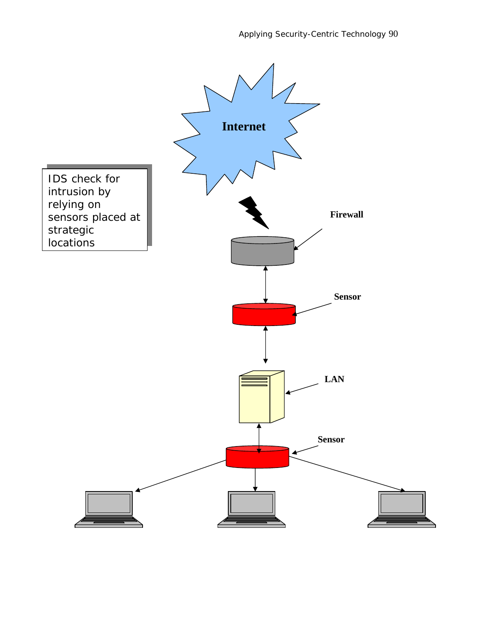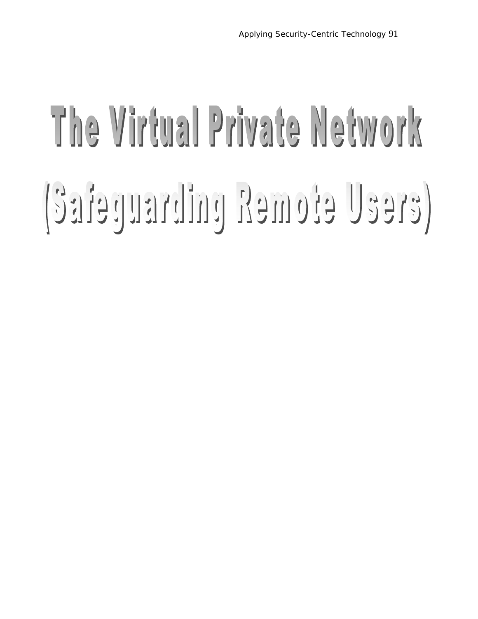## The Virtual Private Network Safetuarding Remote Users)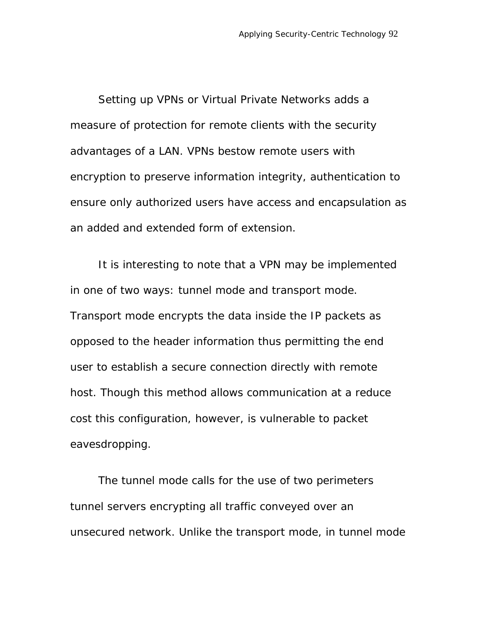Setting up VPNs or Virtual Private Networks adds a measure of protection for remote clients with the security advantages of a LAN. VPNs bestow remote users with encryption to preserve information integrity, authentication to ensure only authorized users have access and encapsulation as an added and extended form of extension.

It is interesting to note that a VPN may be implemented in one of two ways: tunnel mode and transport mode. Transport mode encrypts the data inside the IP packets as opposed to the header information thus permitting the end user to establish a secure connection directly with remote host. Though this method allows communication at a reduce cost this configuration, however, is vulnerable to packet eavesdropping.

The tunnel mode calls for the use of two perimeters tunnel servers encrypting all traffic conveyed over an unsecured network. Unlike the transport mode, in tunnel mode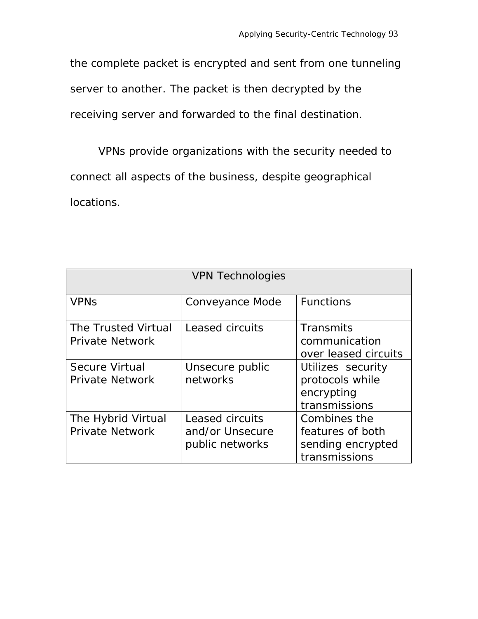the complete packet is encrypted and sent from one tunneling server to another. The packet is then decrypted by the receiving server and forwarded to the final destination.

VPNs provide organizations with the security needed to connect all aspects of the business, despite geographical locations.

| <b>VPN Technologies</b>                         |                                                       |                                                                        |  |  |  |
|-------------------------------------------------|-------------------------------------------------------|------------------------------------------------------------------------|--|--|--|
| <b>VPN<sub>S</sub></b>                          | Conveyance Mode                                       | <b>Functions</b>                                                       |  |  |  |
| The Trusted Virtual<br><b>Private Network</b>   | Leased circuits                                       | Transmits<br>communication<br>over leased circuits                     |  |  |  |
| <b>Secure Virtual</b><br><b>Private Network</b> | Unsecure public<br>networks                           | Utilizes security<br>protocols while<br>encrypting<br>transmissions    |  |  |  |
| The Hybrid Virtual<br><b>Private Network</b>    | Leased circuits<br>and/or Unsecure<br>public networks | Combines the<br>features of both<br>sending encrypted<br>transmissions |  |  |  |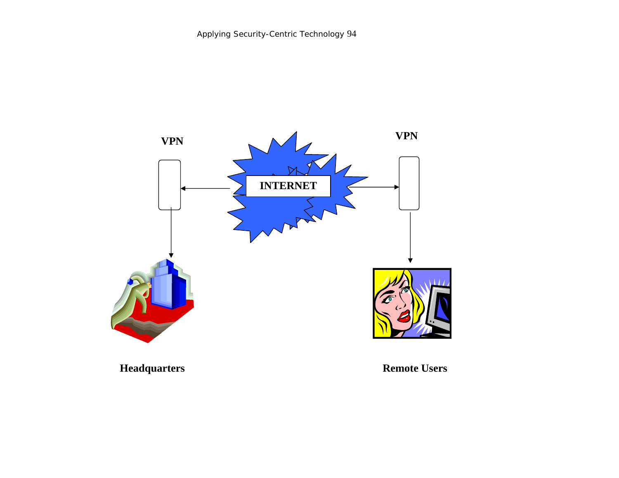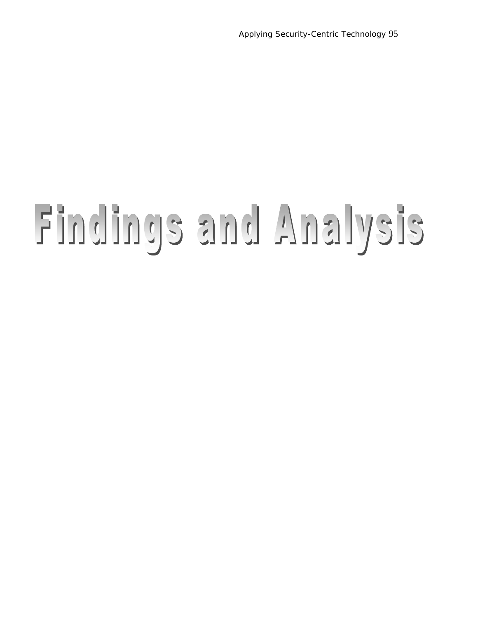#### Findings and Analysis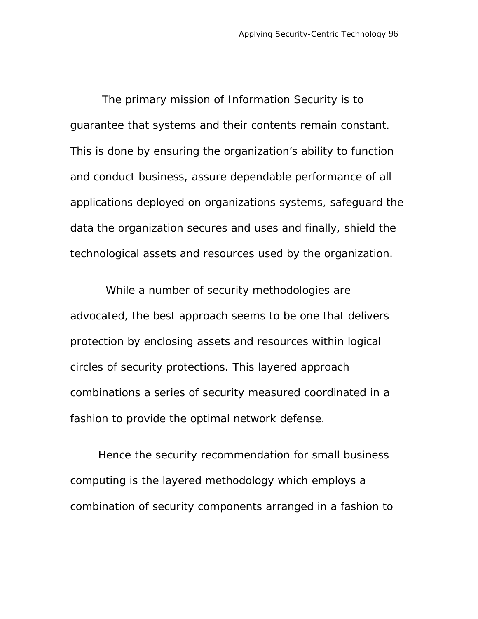The primary mission of Information Security is to guarantee that systems and their contents remain constant. This is done by ensuring the organization's ability to function and conduct business, assure dependable performance of all applications deployed on organizations systems, safeguard the data the organization secures and uses and finally, shield the technological assets and resources used by the organization.

 While a number of security methodologies are advocated, the best approach seems to be one that delivers protection by enclosing assets and resources within logical circles of security protections. This layered approach combinations a series of security measured coordinated in a fashion to provide the optimal network defense.

Hence the security recommendation for small business computing is the layered methodology which employs a combination of security components arranged in a fashion to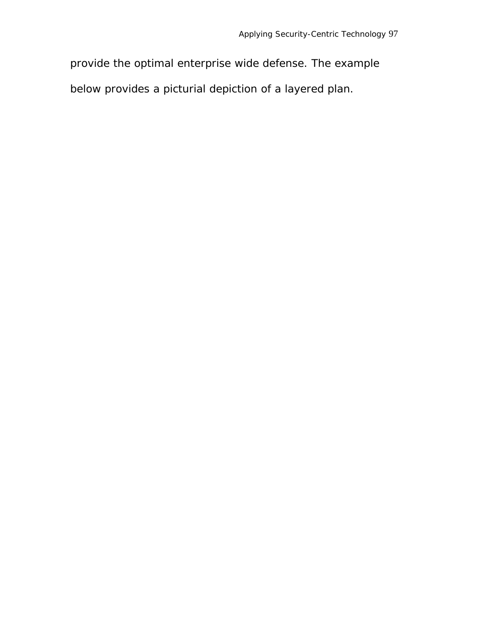provide the optimal enterprise wide defense. The example below provides a picturial depiction of a layered plan.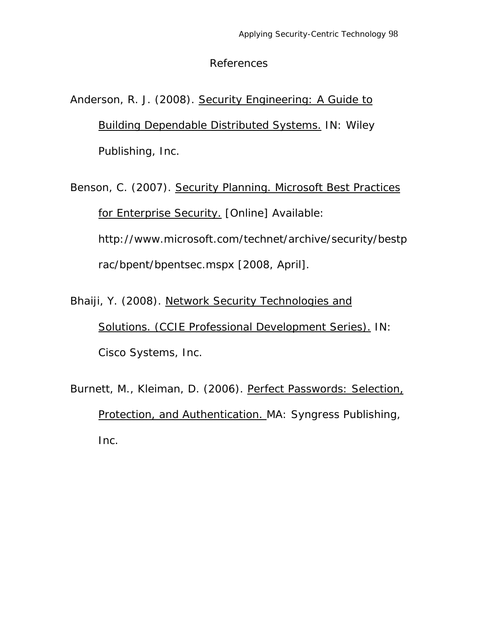#### References

#### Anderson, R. J. (2008). Security Engineering: A Guide to Building Dependable Distributed Systems. IN: Wiley Publishing, Inc.

Benson, C. (2007). Security Planning. Microsoft Best Practices for Enterprise Security. [Online] Available: http://www.microsoft.com/technet/archive/security/bestp rac/bpent/bpentsec.mspx [2008, April].

Bhaiji, Y. (2008). Network Security Technologies and Solutions. (CCIE Professional Development Series). IN: Cisco Systems, Inc.

Burnett, M., Kleiman, D. (2006). Perfect Passwords: Selection, Protection, and Authentication. MA: Syngress Publishing, Inc.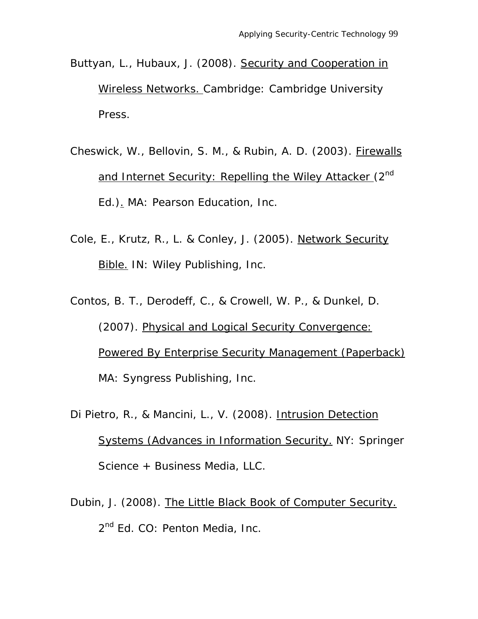- Buttyan, L., Hubaux, J. (2008). Security and Cooperation in Wireless Networks. Cambridge: Cambridge University Press.
- Cheswick, W., Bellovin, S. M., & Rubin, A. D. (2003). Firewalls and Internet Security: Repelling the Wiley Attacker (2<sup>nd</sup> Ed.). MA: Pearson Education, Inc.
- Cole, E., Krutz, R., L. & Conley, J. (2005). Network Security Bible. IN: Wiley Publishing, Inc.
- Contos, B. T., Derodeff, C., & Crowell, W. P., & Dunkel, D. (2007). Physical and Logical Security Convergence: Powered By Enterprise Security Management (Paperback) MA: Syngress Publishing, Inc.
- Di Pietro, R., & Mancini, L., V. (2008). Intrusion Detection Systems (Advances in Information Security. NY: Springer Science + Business Media, LLC.
- Dubin, J. (2008). The Little Black Book of Computer Security. 2<sup>nd</sup> Ed. CO: Penton Media, Inc.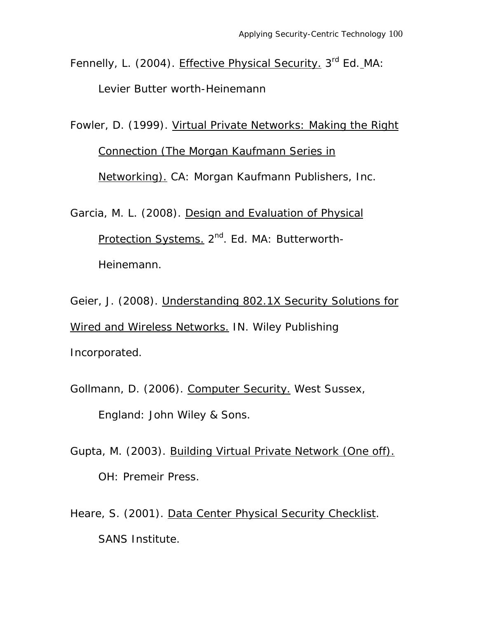Fennelly, L. (2004). Effective Physical Security. 3<sup>rd</sup> Ed. MA: Levier Butter worth-Heinemann

Fowler, D. (1999). Virtual Private Networks: Making the Right Connection (The Morgan Kaufmann Series in Networking). CA: Morgan Kaufmann Publishers, Inc.

Garcia, M. L. (2008). Design and Evaluation of Physical Protection Systems. 2<sup>nd</sup>. Ed. MA: Butterworth-Heinemann.

Geier, J. (2008). Understanding 802.1X Security Solutions for Wired and Wireless Networks. IN. Wiley Publishing Incorporated.

Gollmann, D. (2006). Computer Security. West Sussex, England: John Wiley & Sons.

Gupta, M. (2003). Building Virtual Private Network (One off). OH: Premeir Press.

Heare, S. (2001). Data Center Physical Security Checklist. SANS Institute.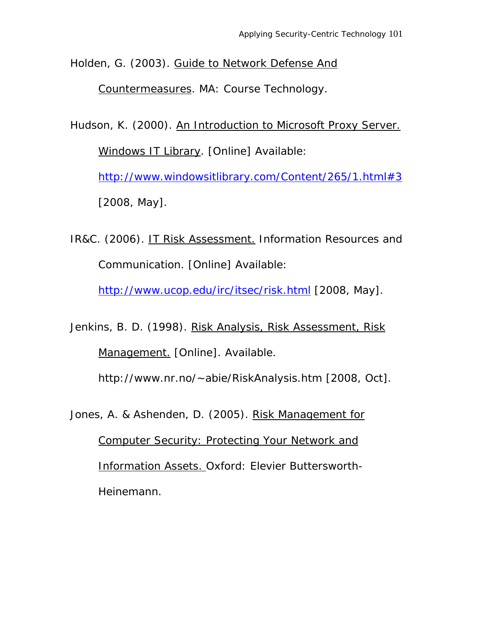Holden, G. (2003). Guide to Network Defense And

Countermeasures. MA: Course Technology.

Hudson, K. (2000). An Introduction to Microsoft Proxy Server. Windows IT Library. [Online] Available: http://www.windowsitlibrary.com/Content/265/1.html#3 [2008, May].

IR&C. (2006). IT Risk Assessment. Information Resources and Communication. [Online] Available:

http://www.ucop.edu/irc/itsec/risk.html [2008, May].

Jenkins, B. D. (1998). Risk Analysis, Risk Assessment, Risk Management. [Online]. Available.

http://www.nr.no/~abie/RiskAnalysis.htm [2008, Oct].

Jones, A. & Ashenden, D. (2005). Risk Management for

Computer Security: Protecting Your Network and Information Assets. Oxford: Elevier Buttersworth-Heinemann.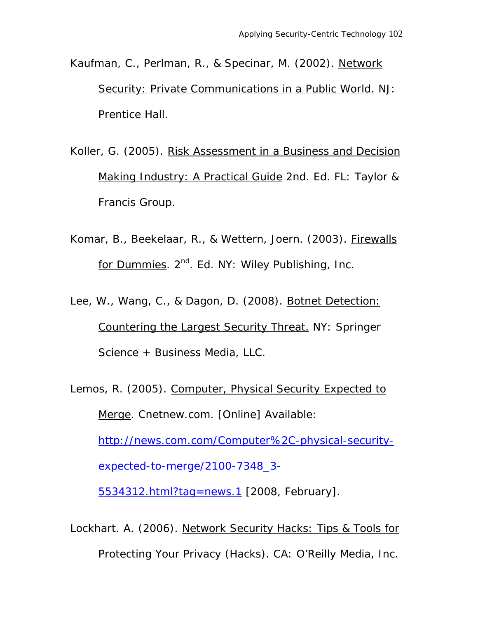Kaufman, C., Perlman, R., & Specinar, M. (2002). Network Security: Private Communications in a Public World. NJ: Prentice Hall.

Koller, G. (2005). Risk Assessment in a Business and Decision Making Industry: A Practical Guide 2nd. Ed. FL: Taylor & Francis Group.

Komar, B., Beekelaar, R., & Wettern, Joern. (2003). Firewalls for Dummies. 2<sup>nd</sup>. Ed. NY: Wiley Publishing, Inc.

Lee, W., Wang, C., & Dagon, D. (2008). Botnet Detection: Countering the Largest Security Threat. NY: Springer Science + Business Media, LLC.

Lemos, R. (2005). Computer, Physical Security Expected to Merge. Cnetnew.com. [Online] Available: http://news.com.com/Computer%2C-physical-securityexpected-to-merge/2100-7348\_3- 5534312.html?tag=news.1 [2008, February].

Lockhart. A. (2006). Network Security Hacks: Tips & Tools for Protecting Your Privacy (Hacks). CA: O'Reilly Media, Inc.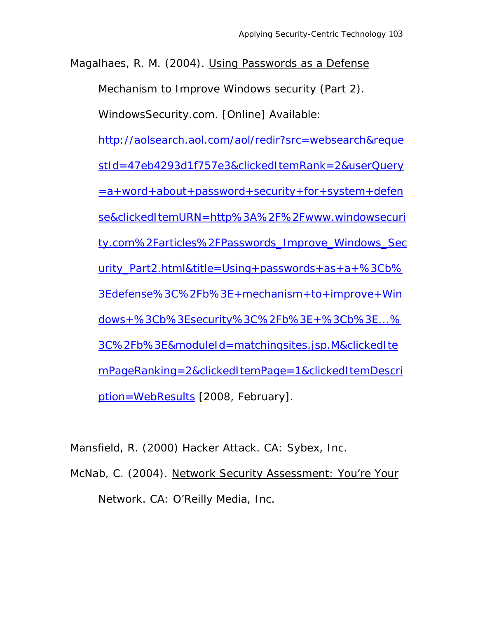Magalhaes, R. M. (2004). Using Passwords as a Defense

Mechanism to Improve Windows security (Part 2).

WindowsSecurity.com. [Online] Available:

http://aolsearch.aol.com/aol/redir?src=websearch&reque

stId=47eb4293d1f757e3&clickedItemRank=2&userQuery

 $=$ a+word+about+password+security+for+system+defen

se&clickedItemURN=http%3A%2F%2Fwww.windowsecuri

ty.com%2Farticles%2FPasswords\_Improve\_Windows\_Sec

urity  $Part2.html$ &title=Using+passwords+as+a+%3Cb%

3Edefense%3C%2Fb%3E+mechanism+to+improve+Win

dows+%3Cb%3Esecurity%3C%2Fb%3E+%3Cb%3E...%

3C%2Fb%3E&moduleId=matchingsites.jsp.M&clickedIte

mPageRanking=2&clickedItemPage=1&clickedItemDescri ption=WebResults [2008, February].

Mansfield, R. (2000) Hacker Attack. CA: Sybex, Inc.

McNab, C. (2004). Network Security Assessment: You're Your Network. CA: O'Reilly Media, Inc.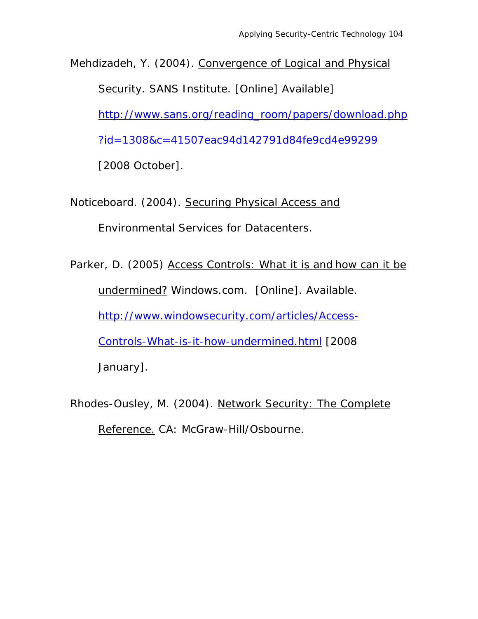Mehdizadeh, Y. (2004). Convergence of Logical and Physical

Security. SANS Institute. [Online] Available]

http://www.sans.org/reading\_room/papers/download.php

?id=1308&c=41507eac94d142791d84fe9cd4e99299

[2008 October].

Noticeboard. (2004). Securing Physical Access and

Environmental Services for Datacenters.

Parker, D. (2005) Access Controls: What it is and how can it be undermined? Windows.com. [Online]. Available. http://www.windowsecurity.com/articles/Access-Controls-What-is-it-how-undermined.html [2008 January].

Rhodes-Ousley, M. (2004). Network Security: The Complete Reference. CA: McGraw-Hill/Osbourne.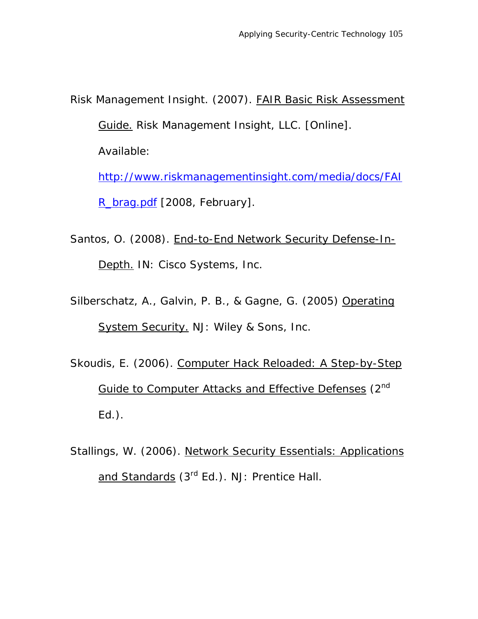Risk Management Insight. (2007). FAIR Basic Risk Assessment Guide. Risk Management Insight, LLC. [Online]. Available: http://www.riskmanagementinsight.com/media/docs/FAI

R\_brag.pdf [2008, February].

- Santos, O. (2008). End-to-End Network Security Defense-In-Depth. IN: Cisco Systems, Inc.
- Silberschatz, A., Galvin, P. B., & Gagne, G. (2005) Operating System Security. NJ: Wiley & Sons, Inc.
- Skoudis, E. (2006). Computer Hack Reloaded: A Step-by-Step Guide to Computer Attacks and Effective Defenses (2nd Ed.).
- Stallings, W. (2006). Network Security Essentials: Applications and Standards (3<sup>rd</sup> Ed.). NJ: Prentice Hall.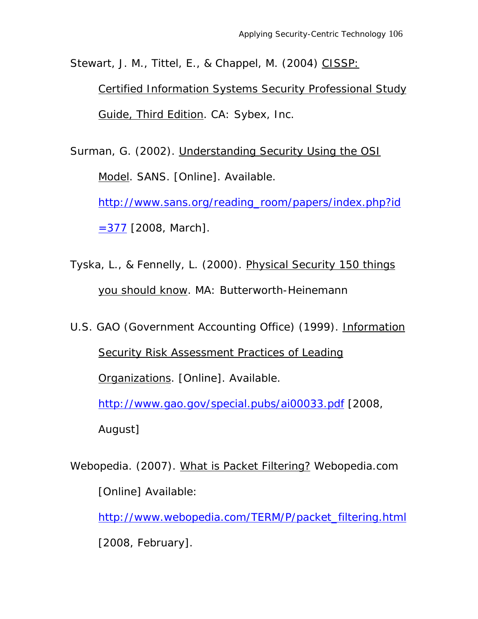Stewart, J. M., Tittel, E., & Chappel, M. (2004) CISSP:

Certified Information Systems Security Professional Study Guide, Third Edition. CA: Sybex, Inc.

Surman, G. (2002). Understanding Security Using the OSI Model. SANS. [Online]. Available. http://www.sans.org/reading\_room/papers/index.php?id

 $=377$  [2008, March].

Tyska, L., & Fennelly, L. (2000). Physical Security 150 things you should know. MA: Butterworth-Heinemann

U.S. GAO (Government Accounting Office) (1999). Information Security Risk Assessment Practices of Leading Organizations. [Online]. Available. http://www.gao.gov/special.pubs/ai00033.pdf [2008,

August]

Webopedia. (2007). What is Packet Filtering? Webopedia.com [Online] Available:

http://www.webopedia.com/TERM/P/packet\_filtering.html

[2008, February].